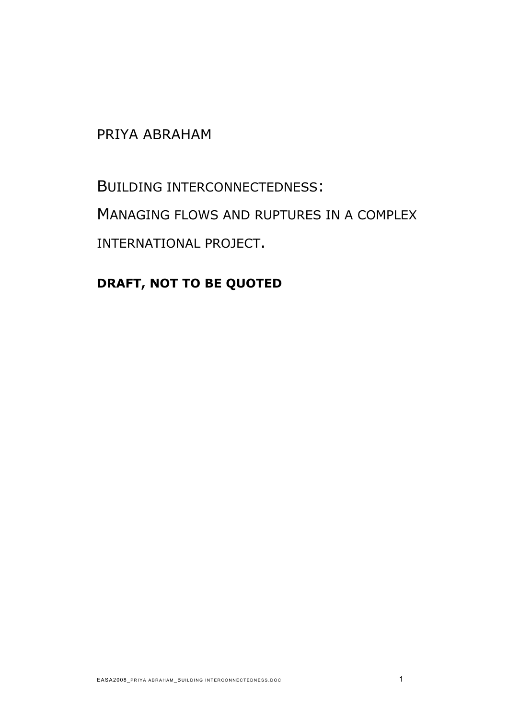# PRIYA ABRAHAM

BUILDING INTERCONNECTEDNESS: MANAGING FLOWS AND RUPTURES IN A COMPLEX INTERNATIONAL PROJECT.

# **DRAFT, NOT TO BE QUOTED**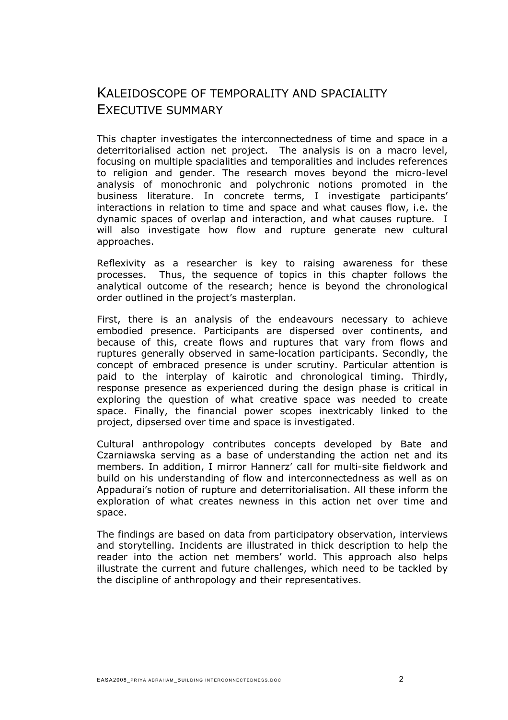### KALEIDOSCOPE OF TEMPORALITY AND SPACIALITY EXECUTIVE SUMMARY

This chapter investigates the interconnectedness of time and space in a deterritorialised action net project. The analysis is on a macro level, focusing on multiple spacialities and temporalities and includes references to religion and gender. The research moves beyond the micro-level analysis of monochronic and polychronic notions promoted in the business literature. In concrete terms, I investigate participants' interactions in relation to time and space and what causes flow, i.e. the dynamic spaces of overlap and interaction, and what causes rupture. I will also investigate how flow and rupture generate new cultural approaches.

Reflexivity as a researcher is key to raising awareness for these processes. Thus, the sequence of topics in this chapter follows the analytical outcome of the research; hence is beyond the chronological order outlined in the project's masterplan.

First, there is an analysis of the endeavours necessary to achieve embodied presence. Participants are dispersed over continents, and because of this, create flows and ruptures that vary from flows and ruptures generally observed in same-location participants. Secondly, the concept of embraced presence is under scrutiny. Particular attention is paid to the interplay of kairotic and chronological timing. Thirdly, response presence as experienced during the design phase is critical in exploring the question of what creative space was needed to create space. Finally, the financial power scopes inextricably linked to the project, dipsersed over time and space is investigated.

Cultural anthropology contributes concepts developed by Bate and Czarniawska serving as a base of understanding the action net and its members. In addition, I mirror Hannerz' call for multi-site fieldwork and build on his understanding of flow and interconnectedness as well as on Appadurai's notion of rupture and deterritorialisation. All these inform the exploration of what creates newness in this action net over time and space.

The findings are based on data from participatory observation, interviews and storytelling. Incidents are illustrated in thick description to help the reader into the action net members' world. This approach also helps illustrate the current and future challenges, which need to be tackled by the discipline of anthropology and their representatives.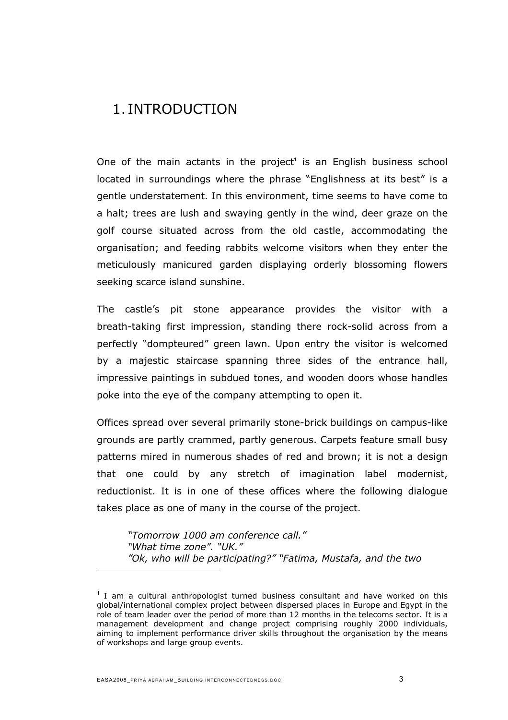## 1. INTRODUCTION

One of the main actants in the project<sup>[1](#page-2-0)</sup> is an English business school located in surroundings where the phrase "Englishness at its best" is a gentle understatement. In this environment, time seems to have come to a halt; trees are lush and swaying gently in the wind, deer graze on the golf course situated across from the old castle, accommodating the organisation; and feeding rabbits welcome visitors when they enter the meticulously manicured garden displaying orderly blossoming flowers seeking scarce island sunshine.

The castle's pit stone appearance provides the visitor with a breath-taking first impression, standing there rock-solid across from a perfectly "dompteured" green lawn. Upon entry the visitor is welcomed by a majestic staircase spanning three sides of the entrance hall, impressive paintings in subdued tones, and wooden doors whose handles poke into the eye of the company attempting to open it.

Offices spread over several primarily stone-brick buildings on campus-like grounds are partly crammed, partly generous. Carpets feature small busy patterns mired in numerous shades of red and brown; it is not a design that one could by any stretch of imagination label modernist, reductionist. It is in one of these offices where the following dialogue takes place as one of many in the course of the project.

*"Tomorrow 1000 am conference call." "What time zone". "UK." "Ok, who will be participating?" "Fatima, Mustafa, and the two* 

<span id="page-2-0"></span> $1$  I am a cultural anthropologist turned business consultant and have worked on this global/international complex project between dispersed places in Europe and Egypt in the role of team leader over the period of more than 12 months in the telecoms sector. It is a management development and change project comprising roughly 2000 individuals, aiming to implement performance driver skills throughout the organisation by the means of workshops and large group events.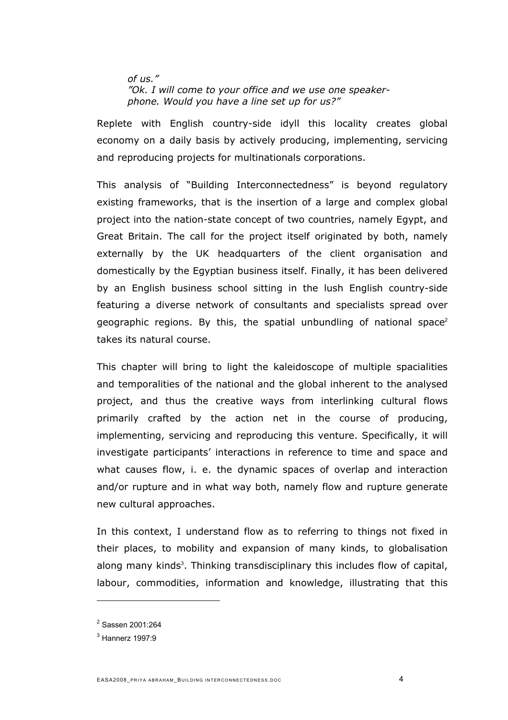#### *of us." "Ok. I will come to your office and we use one speakerphone. Would you have a line set up for us?"*

Replete with English country-side idyll this locality creates global economy on a daily basis by actively producing, implementing, servicing and reproducing projects for multinationals corporations.

This analysis of "Building Interconnectedness" is beyond regulatory existing frameworks, that is the insertion of a large and complex global project into the nation-state concept of two countries, namely Egypt, and Great Britain. The call for the project itself originated by both, namely externally by the UK headquarters of the client organisation and domestically by the Egyptian business itself. Finally, it has been delivered by an English business school sitting in the lush English country-side featuring a diverse network of consultants and specialists spread over geographic regions. By this, the spatial unbundling of national space<sup>[2](#page-3-0)</sup> takes its natural course.

This chapter will bring to light the kaleidoscope of multiple spacialities and temporalities of the national and the global inherent to the analysed project, and thus the creative ways from interlinking cultural flows primarily crafted by the action net in the course of producing, implementing, servicing and reproducing this venture. Specifically, it will investigate participants' interactions in reference to time and space and what causes flow, i. e. the dynamic spaces of overlap and interaction and/or rupture and in what way both, namely flow and rupture generate new cultural approaches.

In this context, I understand flow as to referring to things not fixed in their places, to mobility and expansion of many kinds, to globalisation along many kinds<sup>[3](#page-3-1)</sup>. Thinking transdisciplinary this includes flow of capital, labour, commodities, information and knowledge, illustrating that this

<span id="page-3-0"></span><sup>2</sup> Sassen 2001:264

<span id="page-3-1"></span><sup>3</sup> Hannerz 1997:9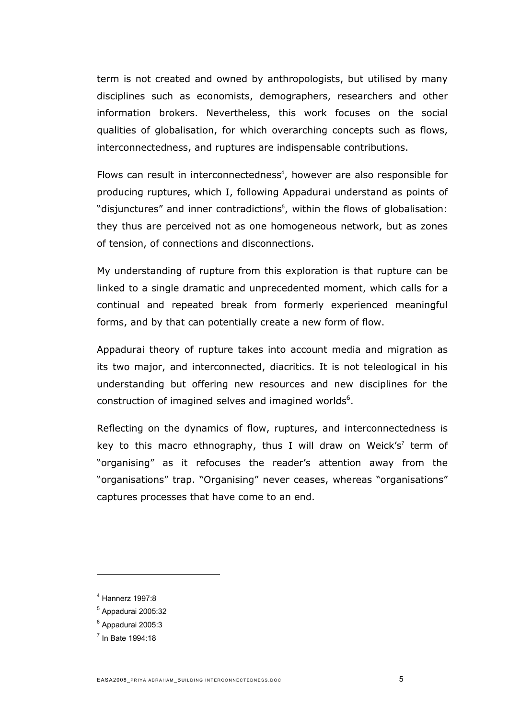term is not created and owned by anthropologists, but utilised by many disciplines such as economists, demographers, researchers and other information brokers. Nevertheless, this work focuses on the social qualities of globalisation, for which overarching concepts such as flows, interconnectedness, and ruptures are indispensable contributions.

Flows can result in interconnectedness<sup>[4](#page-4-0)</sup>, however are also responsible for producing ruptures, which I, following Appadurai understand as points of "disjunctures" and inner contradictions<sup>[5](#page-4-1)</sup>, within the flows of globalisation: they thus are perceived not as one homogeneous network, but as zones of tension, of connections and disconnections.

My understanding of rupture from this exploration is that rupture can be linked to a single dramatic and unprecedented moment, which calls for a continual and repeated break from formerly experienced meaningful forms, and by that can potentially create a new form of flow.

Appadurai theory of rupture takes into account media and migration as its two major, and interconnected, diacritics. It is not teleological in his understanding but offering new resources and new disciplines for the construction of imagined selves and imagined worlds $6$ .

Reflecting on the dynamics of flow, ruptures, and interconnectedness is key to this macro ethnography, thus I will draw on Weick's<sup>[7](#page-4-3)</sup> term of "organising" as it refocuses the reader's attention away from the "organisations" trap. "Organising" never ceases, whereas "organisations" captures processes that have come to an end.

<span id="page-4-0"></span><sup>4</sup> Hannerz 1997:8

<span id="page-4-1"></span><sup>5</sup> Appadurai 2005:32

<span id="page-4-2"></span><sup>&</sup>lt;sup>6</sup> Appadurai 2005:3

<span id="page-4-3"></span> $<sup>7</sup>$  In Bate 1994:18</sup>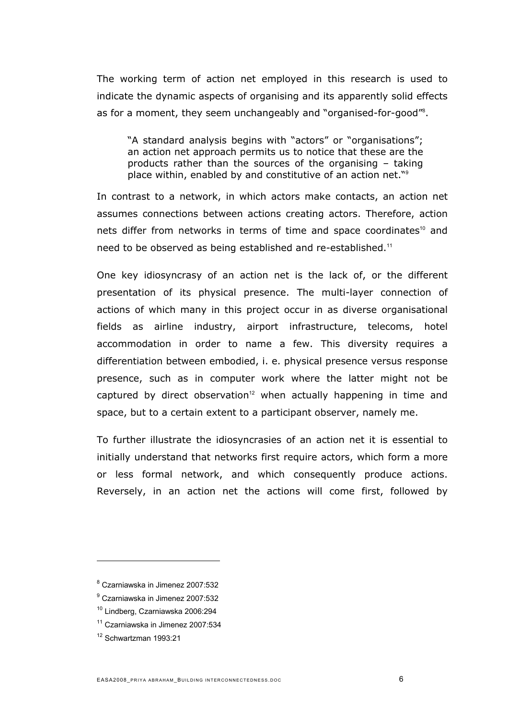The working term of action net employed in this research is used to indicate the dynamic aspects of organising and its apparently solid effects as for a moment, they seem unchangeably and "organised-for-good"<sup>8</sup> .

"A standard analysis begins with "actors" or "organisations"; an action net approach permits us to notice that these are the products rather than the sources of the organising – taking place within, enabled by and constitutive of an action net."[9](#page-5-1)

In contrast to a network, in which actors make contacts, an action net assumes connections between actions creating actors. Therefore, action nets differ from networks in terms of time and space coordinates<sup>[10](#page-5-2)</sup> and need to be observed as being established and re-established.[11](#page-5-3)

One key idiosyncrasy of an action net is the lack of, or the different presentation of its physical presence. The multi-layer connection of actions of which many in this project occur in as diverse organisational fields as airline industry, airport infrastructure, telecoms, hotel accommodation in order to name a few. This diversity requires a differentiation between embodied, i. e. physical presence versus response presence, such as in computer work where the latter might not be captured by direct observation<sup>[12](#page-5-4)</sup> when actually happening in time and space, but to a certain extent to a participant observer, namely me.

To further illustrate the idiosyncrasies of an action net it is essential to initially understand that networks first require actors, which form a more or less formal network, and which consequently produce actions. Reversely, in an action net the actions will come first, followed by

- <span id="page-5-0"></span>8 Czarniawska in Jimenez 2007:532
- <span id="page-5-1"></span>9 Czarniawska in Jimenez 2007:532
- <span id="page-5-2"></span>10 Lindberg, Czarniawska 2006:294
- <span id="page-5-3"></span>11 Czarniawska in Jimenez 2007:534
- <span id="page-5-4"></span>12 Schwartzman 1993:21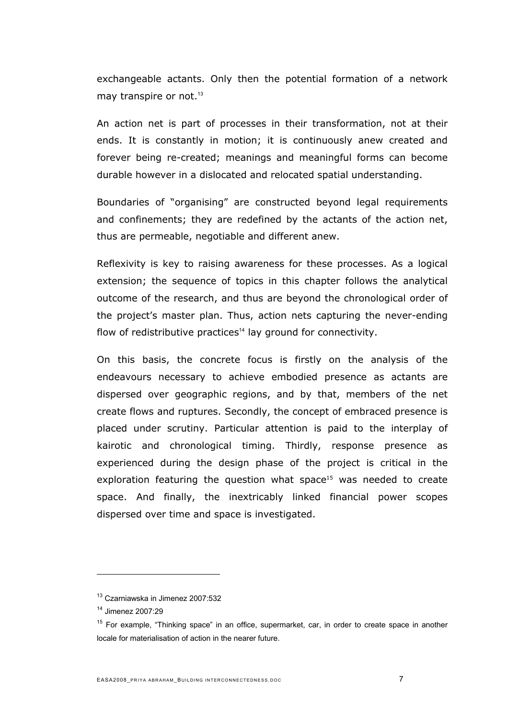exchangeable actants. Only then the potential formation of a network may transpire or not.<sup>[13](#page-6-0)</sup>

An action net is part of processes in their transformation, not at their ends. It is constantly in motion; it is continuously anew created and forever being re-created; meanings and meaningful forms can become durable however in a dislocated and relocated spatial understanding.

Boundaries of "organising" are constructed beyond legal requirements and confinements; they are redefined by the actants of the action net, thus are permeable, negotiable and different anew.

Reflexivity is key to raising awareness for these processes. As a logical extension; the sequence of topics in this chapter follows the analytical outcome of the research, and thus are beyond the chronological order of the project's master plan. Thus, action nets capturing the never-ending flow of redistributive practices<sup>[14](#page-6-1)</sup> lay ground for connectivity.

On this basis, the concrete focus is firstly on the analysis of the endeavours necessary to achieve embodied presence as actants are dispersed over geographic regions, and by that, members of the net create flows and ruptures. Secondly, the concept of embraced presence is placed under scrutiny. Particular attention is paid to the interplay of kairotic and chronological timing. Thirdly, response presence as experienced during the design phase of the project is critical in the exploration featuring the question what space<sup>15</sup> was needed to create space. And finally, the inextricably linked financial power scopes dispersed over time and space is investigated.

<span id="page-6-0"></span><sup>13</sup> Czarniawska in Jimenez 2007:532

<span id="page-6-1"></span><sup>14</sup> Jimenez 2007:29

<span id="page-6-2"></span><sup>&</sup>lt;sup>15</sup> For example, "Thinking space" in an office, supermarket, car, in order to create space in another locale for materialisation of action in the nearer future.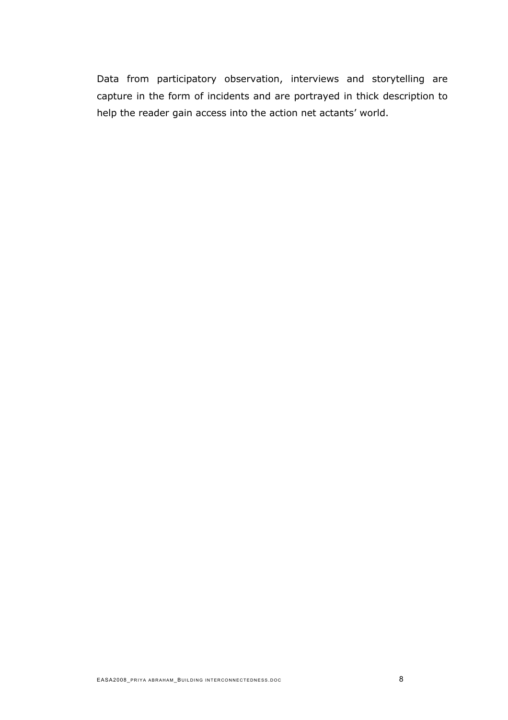Data from participatory observation, interviews and storytelling are capture in the form of incidents and are portrayed in thick description to help the reader gain access into the action net actants' world.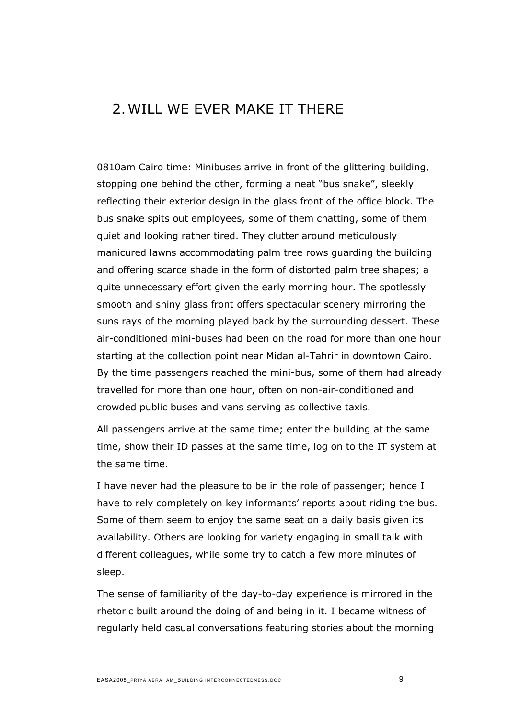# 2. WILL WE EVER MAKE IT THERE

0810am Cairo time: Minibuses arrive in front of the glittering building, stopping one behind the other, forming a neat "bus snake", sleekly reflecting their exterior design in the glass front of the office block. The bus snake spits out employees, some of them chatting, some of them quiet and looking rather tired. They clutter around meticulously manicured lawns accommodating palm tree rows guarding the building and offering scarce shade in the form of distorted palm tree shapes; a quite unnecessary effort given the early morning hour. The spotlessly smooth and shiny glass front offers spectacular scenery mirroring the suns rays of the morning played back by the surrounding dessert. These air-conditioned mini-buses had been on the road for more than one hour starting at the collection point near Midan al-Tahrir in downtown Cairo. By the time passengers reached the mini-bus, some of them had already travelled for more than one hour, often on non-air-conditioned and crowded public buses and vans serving as collective taxis.

All passengers arrive at the same time; enter the building at the same time, show their ID passes at the same time, log on to the IT system at the same time.

I have never had the pleasure to be in the role of passenger; hence I have to rely completely on key informants' reports about riding the bus. Some of them seem to enjoy the same seat on a daily basis given its availability. Others are looking for variety engaging in small talk with different colleagues, while some try to catch a few more minutes of sleep.

The sense of familiarity of the day-to-day experience is mirrored in the rhetoric built around the doing of and being in it. I became witness of regularly held casual conversations featuring stories about the morning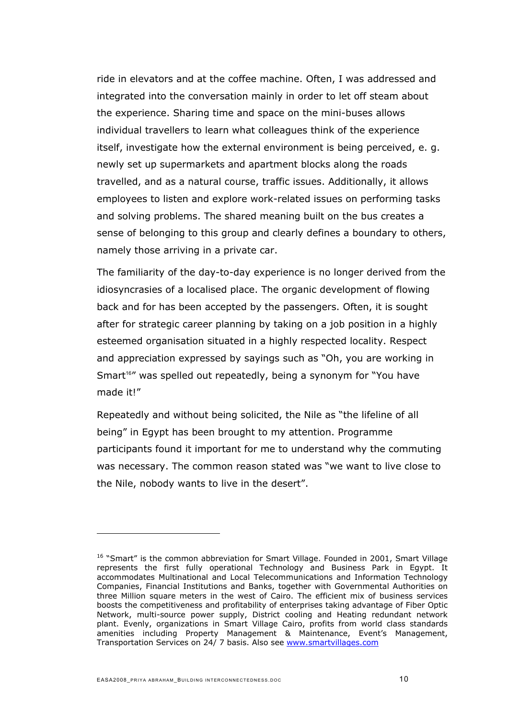ride in elevators and at the coffee machine. Often, I was addressed and integrated into the conversation mainly in order to let off steam about the experience. Sharing time and space on the mini-buses allows individual travellers to learn what colleagues think of the experience itself, investigate how the external environment is being perceived, e. g. newly set up supermarkets and apartment blocks along the roads travelled, and as a natural course, traffic issues. Additionally, it allows employees to listen and explore work-related issues on performing tasks and solving problems. The shared meaning built on the bus creates a sense of belonging to this group and clearly defines a boundary to others, namely those arriving in a private car.

The familiarity of the day-to-day experience is no longer derived from the idiosyncrasies of a localised place. The organic development of flowing back and for has been accepted by the passengers. Often, it is sought after for strategic career planning by taking on a job position in a highly esteemed organisation situated in a highly respected locality. Respect and appreciation expressed by sayings such as "Oh, you are working in Smart<sup>[16](#page-9-0)"</sup> was spelled out repeatedly, being a synonym for "You have made it!"

Repeatedly and without being solicited, the Nile as "the lifeline of all being" in Egypt has been brought to my attention. Programme participants found it important for me to understand why the commuting was necessary. The common reason stated was "we want to live close to the Nile, nobody wants to live in the desert".

<span id="page-9-0"></span><sup>&</sup>lt;sup>16</sup> "Smart" is the common abbreviation for Smart Village. Founded in 2001, Smart Village represents the first fully operational Technology and Business Park in Egypt. It accommodates Multinational and Local Telecommunications and Information Technology Companies, Financial Institutions and Banks, together with Governmental Authorities on three Million square meters in the west of Cairo. The efficient mix of business services boosts the competitiveness and profitability of enterprises taking advantage of Fiber Optic Network, multi-source power supply, District cooling and Heating redundant network plant. Evenly, organizations in Smart Village Cairo, profits from world class standards amenities including Property Management & Maintenance, Event's Management, Transportation Services on 24/ 7 basis. Also see www.smartvillages.com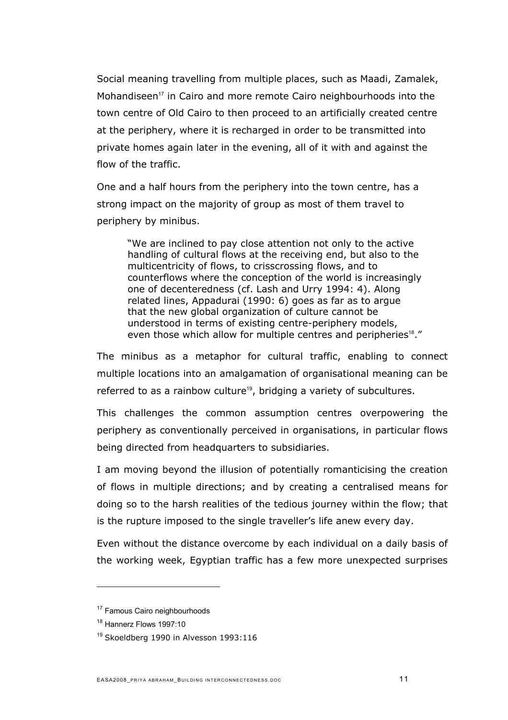Social meaning travelling from multiple places, such as Maadi, Zamalek, Mohandiseen<sup>[17](#page-10-0)</sup> in Cairo and more remote Cairo neighbourhoods into the town centre of Old Cairo to then proceed to an artificially created centre at the periphery, where it is recharged in order to be transmitted into private homes again later in the evening, all of it with and against the flow of the traffic.

One and a half hours from the periphery into the town centre, has a strong impact on the majority of group as most of them travel to periphery by minibus.

"We are inclined to pay close attention not only to the active handling of cultural flows at the receiving end, but also to the multicentricity of flows, to crisscrossing flows, and to counterflows where the conception of the world is increasingly one of decenteredness (cf. Lash and Urry 1994: 4). Along related lines, Appadurai (1990: 6) goes as far as to argue that the new global organization of culture cannot be understood in terms of existing centre-periphery models, even those which allow for multiple centres and peripheries<sup>[18](#page-10-1)</sup>."

The minibus as a metaphor for cultural traffic, enabling to connect multiple locations into an amalgamation of organisational meaning can be referred to as a rainbow culture<sup>[19](#page-10-2)</sup>, bridging a variety of subcultures.

This challenges the common assumption centres overpowering the periphery as conventionally perceived in organisations, in particular flows being directed from headquarters to subsidiaries.

I am moving beyond the illusion of potentially romanticising the creation of flows in multiple directions; and by creating a centralised means for doing so to the harsh realities of the tedious journey within the flow; that is the rupture imposed to the single traveller's life anew every day.

Even without the distance overcome by each individual on a daily basis of the working week, Egyptian traffic has a few more unexpected surprises

<span id="page-10-0"></span><sup>&</sup>lt;sup>17</sup> Famous Cairo neighbourhoods

<span id="page-10-1"></span><sup>&</sup>lt;sup>18</sup> Hannerz Flows 1997:10

<span id="page-10-2"></span><sup>&</sup>lt;sup>19</sup> Skoeldberg 1990 in Alvesson 1993:116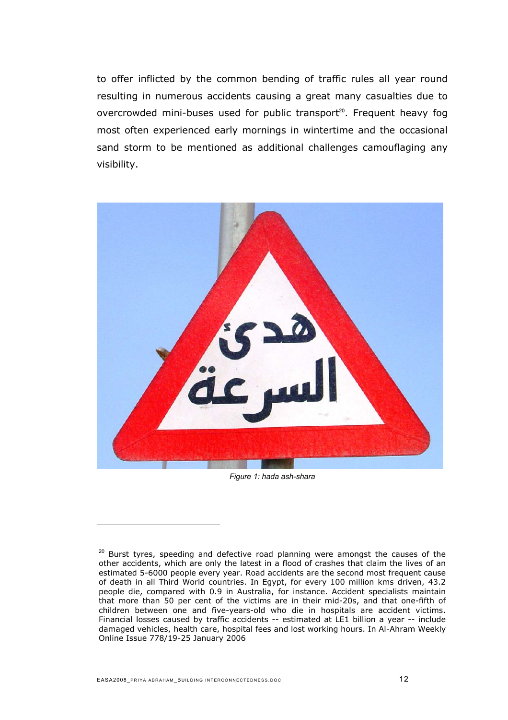to offer inflicted by the common bending of traffic rules all year round resulting in numerous accidents causing a great many casualties due to overcrowded mini-buses used for public transport<sup>20</sup>[.](#page-11-0) Frequent heavy fog most often experienced early mornings in wintertime and the occasional sand storm to be mentioned as additional challenges camouflaging any visibility.



*Figure 1: hada ash-shara*

<span id="page-11-0"></span> $20$  Burst tyres, speeding and defective road planning were amongst the causes of the other accidents, which are only the latest in a flood of crashes that claim the lives of an estimated 5-6000 people every year. Road accidents are the second most frequent cause of death in all Third World countries. In Egypt, for every 100 million kms driven, 43.2 people die, compared with 0.9 in Australia, for instance. Accident specialists maintain that more than 50 per cent of the victims are in their mid-20s, and that one-fifth of children between one and five-years-old who die in hospitals are accident victims. Financial losses caused by traffic accidents -- estimated at LE1 billion a year -- include damaged vehicles, health care, hospital fees and lost working hours. In Al-Ahram Weekly Online Issue 778/19-25 January 2006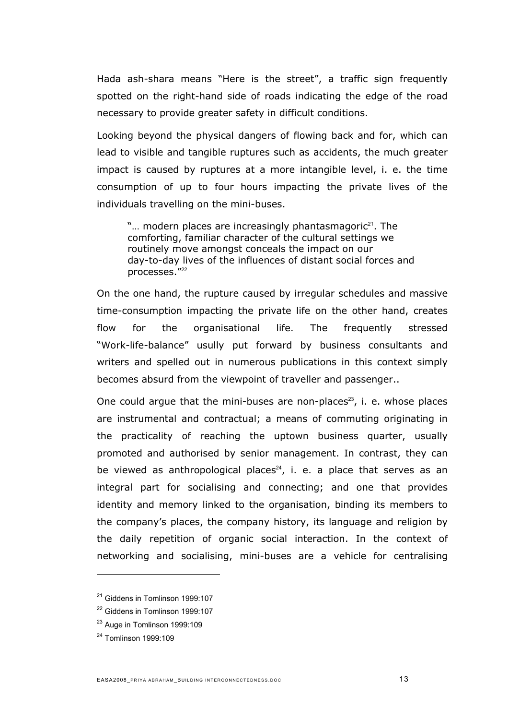Hada ash-shara means "Here is the street", a traffic sign frequently spotted on the right-hand side of roads indicating the edge of the road necessary to provide greater safety in difficult conditions.

Looking beyond the physical dangers of flowing back and for, which can lead to visible and tangible ruptures such as accidents, the much greater impact is caused by ruptures at a more intangible level, i. e. the time consumption of up to four hours impacting the private lives of the individuals travelling on the mini-buses.

" $\ldots$  modern places are increasingly phantasmagoric<sup>[21](#page-12-0)</sup>. The comforting, familiar character of the cultural settings we routinely move amongst conceals the impact on our day-to-day lives of the influences of distant social forces and processes.<sup>"[22](#page-12-1)</sup>

On the one hand, the rupture caused by irregular schedules and massive time-consumption impacting the private life on the other hand, creates flow for the organisational life. The frequently stressed "Work-life-balance" usully put forward by business consultants and writers and spelled out in numerous publications in this context simply becomes absurd from the viewpoint of traveller and passenger..

One could argue that the mini-buses are non-places<sup>[23](#page-12-2)</sup>, i. e. whose places are instrumental and contractual; a means of commuting originating in the practicality of reaching the uptown business quarter, usually promoted and authorised by senior management. In contrast, they can be viewed as anthropological places<sup>[24](#page-12-3)</sup>, i. e. a place that serves as an integral part for socialising and connecting; and one that provides identity and memory linked to the organisation, binding its members to the company's places, the company history, its language and religion by the daily repetition of organic social interaction. In the context of networking and socialising, mini-buses are a vehicle for centralising

<span id="page-12-0"></span><sup>&</sup>lt;sup>21</sup> Giddens in Tomlinson 1999:107

<span id="page-12-1"></span><sup>&</sup>lt;sup>22</sup> Giddens in Tomlinson 1999:107

<span id="page-12-2"></span><sup>&</sup>lt;sup>23</sup> Auge in Tomlinson 1999:109

<span id="page-12-3"></span><sup>24</sup> Tomlinson 1999:109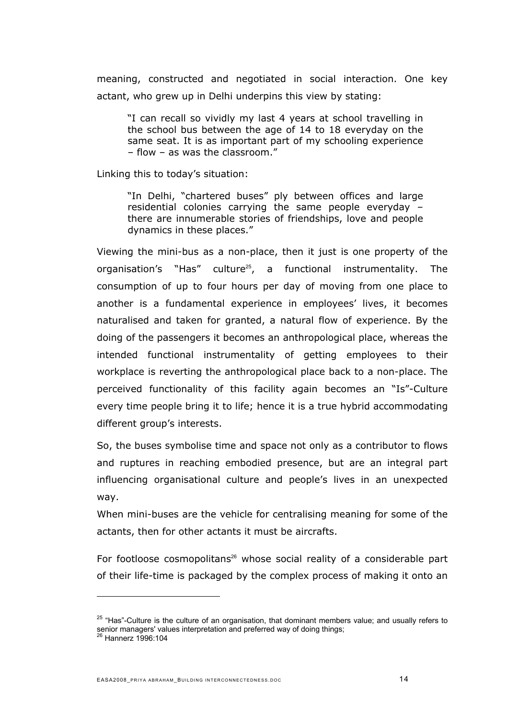meaning, constructed and negotiated in social interaction. One key actant, who grew up in Delhi underpins this view by stating:

"I can recall so vividly my last 4 years at school travelling in the school bus between the age of 14 to 18 everyday on the same seat. It is as important part of my schooling experience – flow – as was the classroom."

Linking this to today's situation:

"In Delhi, "chartered buses" ply between offices and large residential colonies carrying the same people everyday – there are innumerable stories of friendships, love and people dynamics in these places."

Viewing the mini-bus as a non-place, then it just is one property of the organisation's "Has" culture<sup>[25](#page-13-0)</sup>, a functional instrumentality. The consumption of up to four hours per day of moving from one place to another is a fundamental experience in employees' lives, it becomes naturalised and taken for granted, a natural flow of experience. By the doing of the passengers it becomes an anthropological place, whereas the intended functional instrumentality of getting employees to their workplace is reverting the anthropological place back to a non-place. The perceived functionality of this facility again becomes an "Is"-Culture every time people bring it to life; hence it is a true hybrid accommodating different group's interests.

So, the buses symbolise time and space not only as a contributor to flows and ruptures in reaching embodied presence, but are an integral part influencing organisational culture and people's lives in an unexpected way.

When mini-buses are the vehicle for centralising meaning for some of the actants, then for other actants it must be aircrafts.

For footloose cosmopolitans<sup>[26](#page-13-1)</sup> whose social reality of a considerable part of their life-time is packaged by the complex process of making it onto an

<span id="page-13-0"></span> $25$  "Has"-Culture is the culture of an organisation, that dominant members value; and usually refers to senior managers' values interpretation and preferred way of doing things;<br><sup>26</sup> Hannerz 1996:104

<span id="page-13-1"></span>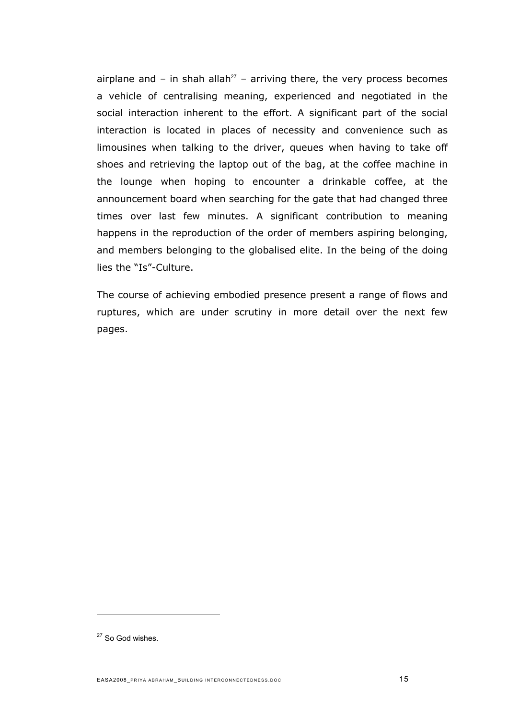airplane and – in shah allah<sup>[27](#page-14-0)</sup> – arriving there, the very process becomes a vehicle of centralising meaning, experienced and negotiated in the social interaction inherent to the effort. A significant part of the social interaction is located in places of necessity and convenience such as limousines when talking to the driver, queues when having to take off shoes and retrieving the laptop out of the bag, at the coffee machine in the lounge when hoping to encounter a drinkable coffee, at the announcement board when searching for the gate that had changed three times over last few minutes. A significant contribution to meaning happens in the reproduction of the order of members aspiring belonging, and members belonging to the globalised elite. In the being of the doing lies the "Is"-Culture.

The course of achieving embodied presence present a range of flows and ruptures, which are under scrutiny in more detail over the next few pages.

<span id="page-14-0"></span><sup>&</sup>lt;sup>27</sup> So God wishes.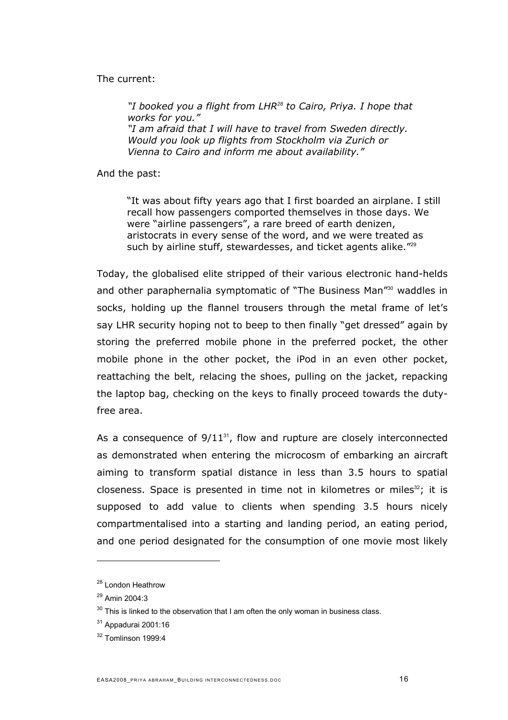#### The current:

*"I booked you a flight from LHR[28](#page-15-0) to Cairo, Priya. I hope that works for you." "I am afraid that I will have to travel from Sweden directly. Would you look up flights from Stockholm via Zurich or Vienna to Cairo and inform me about availability."* 

And the past:

"It was about fifty years ago that I first boarded an airplane. I still recall how passengers comported themselves in those days. We were "airline passengers", a rare breed of earth denizen, aristocrats in every sense of the word, and we were treated as such by airline stuff, stewardesses, and ticket agents alike."<sup>[29](#page-15-1)</sup>

Today, the globalised elite stripped of their various electronic hand-helds and other paraphernalia symptomatic of "The Business Man"<sup>[30](#page-15-2)</sup> waddles in socks, holding up the flannel trousers through the metal frame of let's say LHR security hoping not to beep to then finally "get dressed" again by storing the preferred mobile phone in the preferred pocket, the other mobile phone in the other pocket, the iPod in an even other pocket, reattaching the belt, relacing the shoes, pulling on the jacket, repacking the laptop bag, checking on the keys to finally proceed towards the dutyfree area.

As a consequence of  $9/11^{31}$  $9/11^{31}$  $9/11^{31}$ , flow and rupture are closely interconnected as demonstrated when entering the microcosm of embarking an aircraft aiming to transform spatial distance in less than 3.5 hours to spatial closeness. Space is presented in time not in kilometres or miles<sup>[32](#page-15-4)</sup>; it is supposed to add value to clients when spending 3.5 hours nicely compartmentalised into a starting and landing period, an eating period, and one period designated for the consumption of one movie most likely

<span id="page-15-0"></span><sup>&</sup>lt;sup>28</sup> London Heathrow

<span id="page-15-1"></span><sup>29</sup> Amin 2004:3

<span id="page-15-2"></span> $30$  This is linked to the observation that I am often the only woman in business class.

<span id="page-15-3"></span><sup>31</sup> Appadurai 2001:16

<span id="page-15-4"></span><sup>32</sup> Tomlinson 1999:4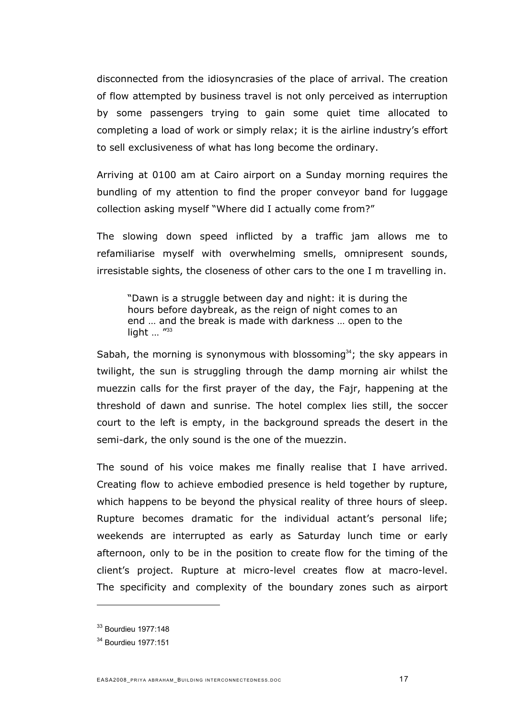disconnected from the idiosyncrasies of the place of arrival. The creation of flow attempted by business travel is not only perceived as interruption by some passengers trying to gain some quiet time allocated to completing a load of work or simply relax; it is the airline industry's effort to sell exclusiveness of what has long become the ordinary.

Arriving at 0100 am at Cairo airport on a Sunday morning requires the bundling of my attention to find the proper conveyor band for luggage collection asking myself "Where did I actually come from?"

The slowing down speed inflicted by a traffic jam allows me to refamiliarise myself with overwhelming smells, omnipresent sounds, irresistable sights, the closeness of other cars to the one I m travelling in.

"Dawn is a struggle between day and night: it is during the hours before daybreak, as the reign of night comes to an end … and the break is made with darkness … open to the light ... "[33](#page-16-0)

Sabah, the morning is synonymous with blossoming<sup>[34](#page-16-1)</sup>; the sky appears in twilight, the sun is struggling through the damp morning air whilst the muezzin calls for the first prayer of the day, the Fajr, happening at the threshold of dawn and sunrise. The hotel complex lies still, the soccer court to the left is empty, in the background spreads the desert in the semi-dark, the only sound is the one of the muezzin.

The sound of his voice makes me finally realise that I have arrived. Creating flow to achieve embodied presence is held together by rupture, which happens to be beyond the physical reality of three hours of sleep. Rupture becomes dramatic for the individual actant's personal life; weekends are interrupted as early as Saturday lunch time or early afternoon, only to be in the position to create flow for the timing of the client's project. Rupture at micro-level creates flow at macro-level. The specificity and complexity of the boundary zones such as airport

<span id="page-16-0"></span><sup>33</sup> Bourdieu 1977:148

<span id="page-16-1"></span><sup>34</sup> Bourdieu 1977:151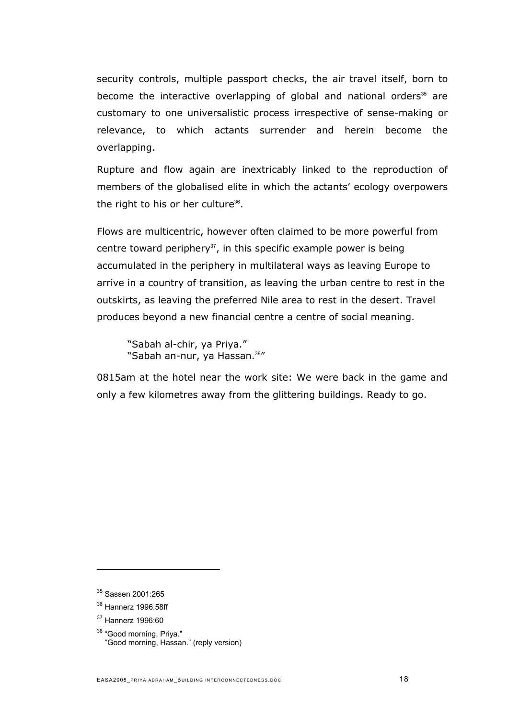security controls, multiple passport checks, the air travel itself, born to becomethe interactive overlapping of global and national orders<sup>35</sup> are customary to one universalistic process irrespective of sense-making or relevance, to which actants surrender and herein become the overlapping.

Rupture and flow again are inextricably linked to the reproduction of members of the globalised elite in which the actants' ecology overpowers the right to his or her culture<sup>[36](#page-17-1)</sup>.

Flows are multicentric, however often claimed to be more powerful from centre toward periphery $37$ , in this specific example power is being accumulated in the periphery in multilateral ways as leaving Europe to arrive in a country of transition, as leaving the urban centre to rest in the outskirts, as leaving the preferred Nile area to rest in the desert. Travel produces beyond a new financial centre a centre of social meaning.

"Sabah al-chir, ya Priya." "Sabah an-nur, ya Hassan.<sup>[38](#page-17-3)"</sup>

0815am at the hotel near the work site: We were back in the game and only a few kilometres away from the glittering buildings. Ready to go.

<span id="page-17-3"></span><sup>38</sup> "Good morning, Priya." "Good morning, Hassan." (reply version)

<span id="page-17-0"></span><sup>35</sup> Sassen 2001:265

<span id="page-17-1"></span><sup>36</sup> Hannerz 1996:58ff

<span id="page-17-2"></span><sup>37</sup> Hannerz 1996:60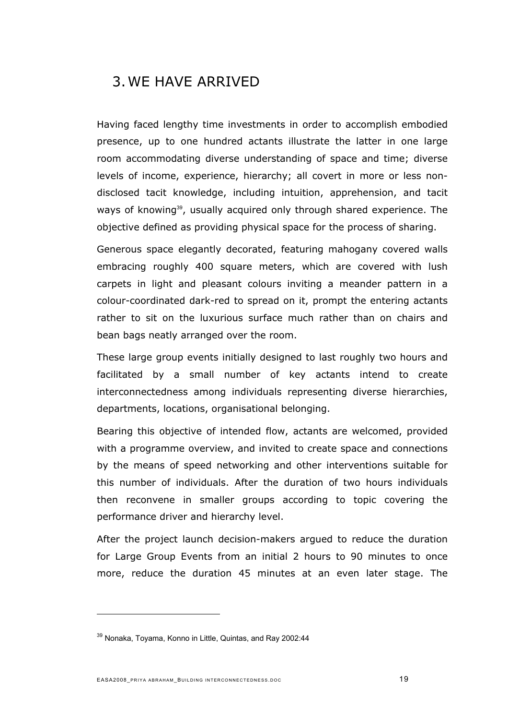# 3. WE HAVE ARRIVED

Having faced lengthy time investments in order to accomplish embodied presence, up to one hundred actants illustrate the latter in one large room accommodating diverse understanding of space and time; diverse levels of income, experience, hierarchy; all covert in more or less nondisclosed tacit knowledge, including intuition, apprehension, and tacit ways of knowing<sup>[39](#page-18-0)</sup>, usually acquired only through shared experience. The objective defined as providing physical space for the process of sharing.

Generous space elegantly decorated, featuring mahogany covered walls embracing roughly 400 square meters, which are covered with lush carpets in light and pleasant colours inviting a meander pattern in a colour-coordinated dark-red to spread on it, prompt the entering actants rather to sit on the luxurious surface much rather than on chairs and bean bags neatly arranged over the room.

These large group events initially designed to last roughly two hours and facilitated by a small number of key actants intend to create interconnectedness among individuals representing diverse hierarchies, departments, locations, organisational belonging.

Bearing this objective of intended flow, actants are welcomed, provided with a programme overview, and invited to create space and connections by the means of speed networking and other interventions suitable for this number of individuals. After the duration of two hours individuals then reconvene in smaller groups according to topic covering the performance driver and hierarchy level.

After the project launch decision-makers argued to reduce the duration for Large Group Events from an initial 2 hours to 90 minutes to once more, reduce the duration 45 minutes at an even later stage. The

<span id="page-18-0"></span><sup>&</sup>lt;sup>39</sup> Nonaka, Toyama, Konno in Little, Quintas, and Ray 2002:44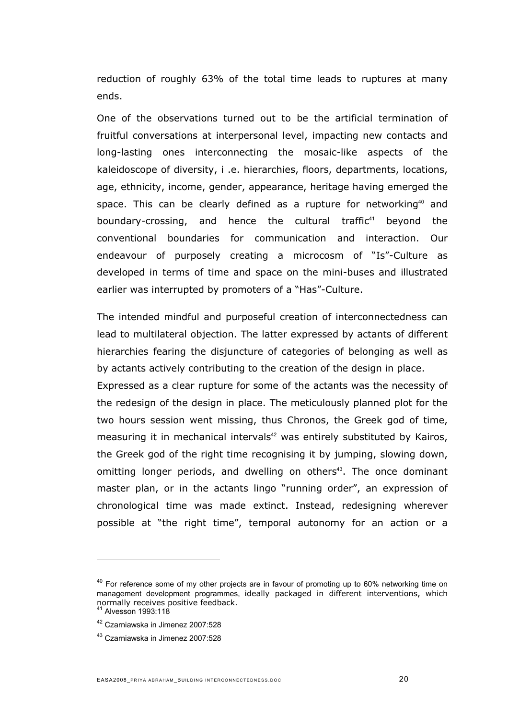reduction of roughly 63% of the total time leads to ruptures at many ends.

One of the observations turned out to be the artificial termination of fruitful conversations at interpersonal level, impacting new contacts and long-lasting ones interconnecting the mosaic-like aspects of the kaleidoscope of diversity, i .e. hierarchies, floors, departments, locations, age, ethnicity, income, gender, appearance, heritage having emerged the space. This can be clearly defined as a rupture for networking<sup>[40](#page-19-0)</sup> and boundary-crossing, and hence the cultural traffic<sup>[41](#page-19-1)</sup> beyond the conventional boundaries for communication and interaction. Our endeavour of purposely creating a microcosm of "Is"-Culture as developed in terms of time and space on the mini-buses and illustrated earlier was interrupted by promoters of a "Has"-Culture.

The intended mindful and purposeful creation of interconnectedness can lead to multilateral objection. The latter expressed by actants of different hierarchies fearing the disjuncture of categories of belonging as well as by actants actively contributing to the creation of the design in place.

Expressed as a clear rupture for some of the actants was the necessity of the redesign of the design in place. The meticulously planned plot for the two hours session went missing, thus Chronos, the Greek god of time, measuring it in mechanical intervals<sup>[42](#page-19-2)</sup> was entirely substituted by Kairos, the Greek god of the right time recognising it by jumping, slowing down, omitting longer periods, and dwelling on others<sup>[43](#page-19-3)</sup>. The once dominant master plan, or in the actants lingo "running order", an expression of chronological time was made extinct. Instead, redesigning wherever possible at "the right time", temporal autonomy for an action or a

<span id="page-19-0"></span> $40$  For reference some of my other projects are in favour of promoting up to 60% networking time on management development programmes, ideally packaged in different interventions, which normally receives positive feedback.

<span id="page-19-2"></span><span id="page-19-1"></span><sup>42</sup> Czarniawska in Jimenez 2007:528

<span id="page-19-3"></span><sup>43</sup> Czarniawska in Jimenez 2007:528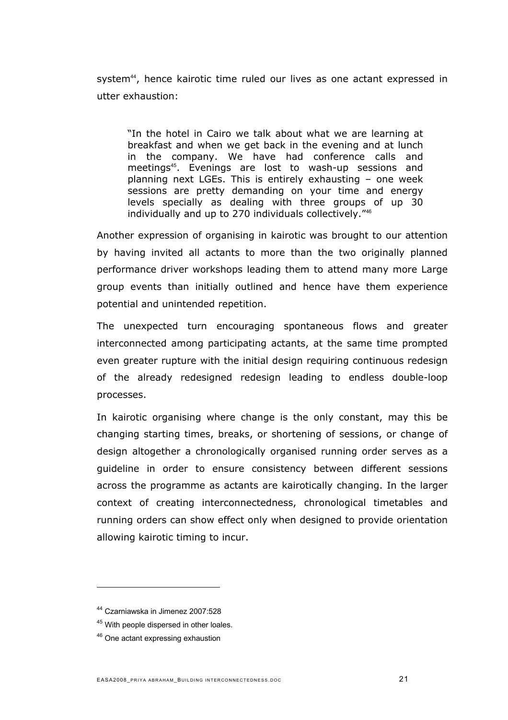system<sup>[44](#page-20-0)</sup>, hence kairotic time ruled our lives as one actant expressed in utter exhaustion:

"In the hotel in Cairo we talk about what we are learning at breakfast and when we get back in the evening and at lunch in the company. We have had conference calls and meetings[45](#page-20-1). Evenings are lost to wash-up sessions and planning next LGEs. This is entirely exhausting – one week sessions are pretty demanding on your time and energy levels specially as dealing with three groups of up 30 individually and up to 270 individuals collectively."[46](#page-20-2)

Another expression of organising in kairotic was brought to our attention by having invited all actants to more than the two originally planned performance driver workshops leading them to attend many more Large group events than initially outlined and hence have them experience potential and unintended repetition.

The unexpected turn encouraging spontaneous flows and greater interconnected among participating actants, at the same time prompted even greater rupture with the initial design requiring continuous redesign of the already redesigned redesign leading to endless double-loop processes.

In kairotic organising where change is the only constant, may this be changing starting times, breaks, or shortening of sessions, or change of design altogether a chronologically organised running order serves as a guideline in order to ensure consistency between different sessions across the programme as actants are kairotically changing. In the larger context of creating interconnectedness, chronological timetables and running orders can show effect only when designed to provide orientation allowing kairotic timing to incur.

<span id="page-20-0"></span><sup>44</sup> Czarniawska in Jimenez 2007:528

<span id="page-20-1"></span><sup>&</sup>lt;sup>45</sup> With people dispersed in other loales.

<span id="page-20-2"></span><sup>&</sup>lt;sup>46</sup> One actant expressing exhaustion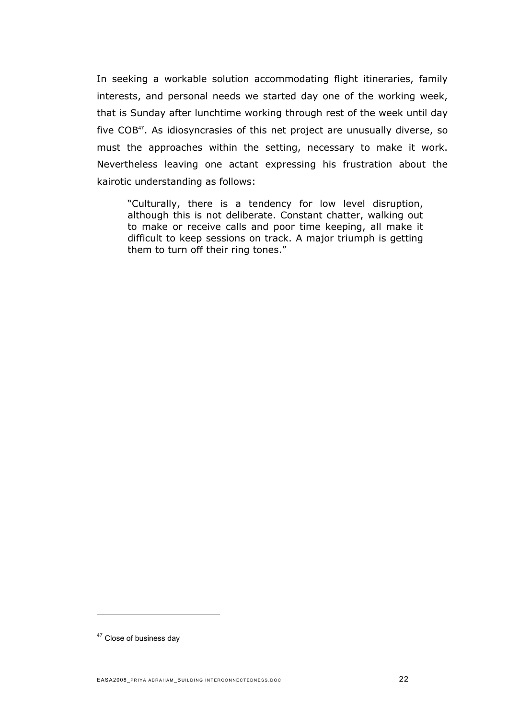In seeking a workable solution accommodating flight itineraries, family interests, and personal needs we started day one of the working week, that is Sunday after lunchtime working through rest of the week until day five COB<sup>[47](#page-21-0)</sup>. As idiosyncrasies of this net project are unusually diverse, so must the approaches within the setting, necessary to make it work. Nevertheless leaving one actant expressing his frustration about the kairotic understanding as follows:

"Culturally, there is a tendency for low level disruption, although this is not deliberate. Constant chatter, walking out to make or receive calls and poor time keeping, all make it difficult to keep sessions on track. A major triumph is getting them to turn off their ring tones."

<span id="page-21-0"></span><sup>&</sup>lt;sup>47</sup> Close of business day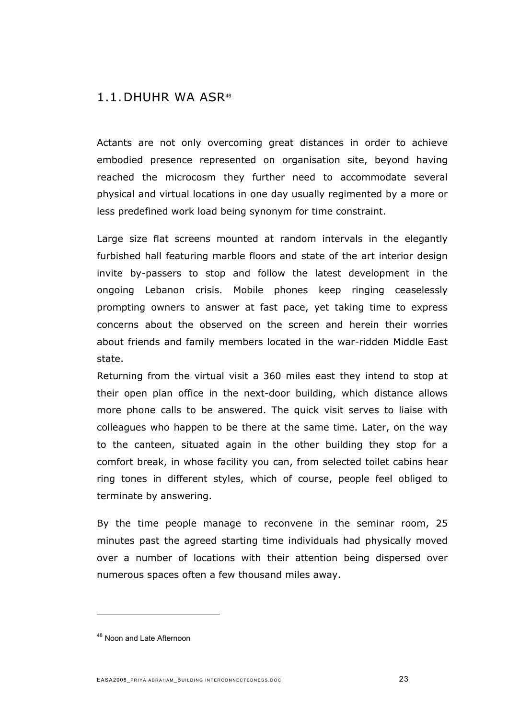### 1.1.DHUHR WA ASR[48](#page-22-0)

Actants are not only overcoming great distances in order to achieve embodied presence represented on organisation site, beyond having reached the microcosm they further need to accommodate several physical and virtual locations in one day usually regimented by a more or less predefined work load being synonym for time constraint.

Large size flat screens mounted at random intervals in the elegantly furbished hall featuring marble floors and state of the art interior design invite by-passers to stop and follow the latest development in the ongoing Lebanon crisis. Mobile phones keep ringing ceaselessly prompting owners to answer at fast pace, yet taking time to express concerns about the observed on the screen and herein their worries about friends and family members located in the war-ridden Middle East state.

Returning from the virtual visit a 360 miles east they intend to stop at their open plan office in the next-door building, which distance allows more phone calls to be answered. The quick visit serves to liaise with colleagues who happen to be there at the same time. Later, on the way to the canteen, situated again in the other building they stop for a comfort break, in whose facility you can, from selected toilet cabins hear ring tones in different styles, which of course, people feel obliged to terminate by answering.

By the time people manage to reconvene in the seminar room, 25 minutes past the agreed starting time individuals had physically moved over a number of locations with their attention being dispersed over numerous spaces often a few thousand miles away.

<span id="page-22-0"></span><sup>48</sup> Noon and Late Afternoon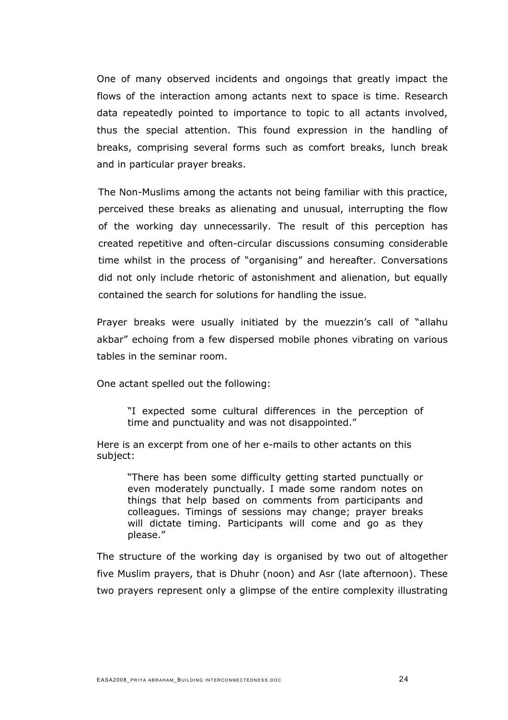One of many observed incidents and ongoings that greatly impact the flows of the interaction among actants next to space is time. Research data repeatedly pointed to importance to topic to all actants involved, thus the special attention. This found expression in the handling of breaks, comprising several forms such as comfort breaks, lunch break and in particular prayer breaks.

The Non-Muslims among the actants not being familiar with this practice, perceived these breaks as alienating and unusual, interrupting the flow of the working day unnecessarily. The result of this perception has created repetitive and often-circular discussions consuming considerable time whilst in the process of "organising" and hereafter. Conversations did not only include rhetoric of astonishment and alienation, but equally contained the search for solutions for handling the issue.

Prayer breaks were usually initiated by the muezzin's call of "allahu akbar" echoing from a few dispersed mobile phones vibrating on various tables in the seminar room.

One actant spelled out the following:

"I expected some cultural differences in the perception of time and punctuality and was not disappointed."

Here is an excerpt from one of her e-mails to other actants on this subject:

"There has been some difficulty getting started punctually or even moderately punctually. I made some random notes on things that help based on comments from participants and colleagues. Timings of sessions may change; prayer breaks will dictate timing. Participants will come and go as they please."

The structure of the working day is organised by two out of altogether five Muslim prayers, that is Dhuhr (noon) and Asr (late afternoon). These two prayers represent only a glimpse of the entire complexity illustrating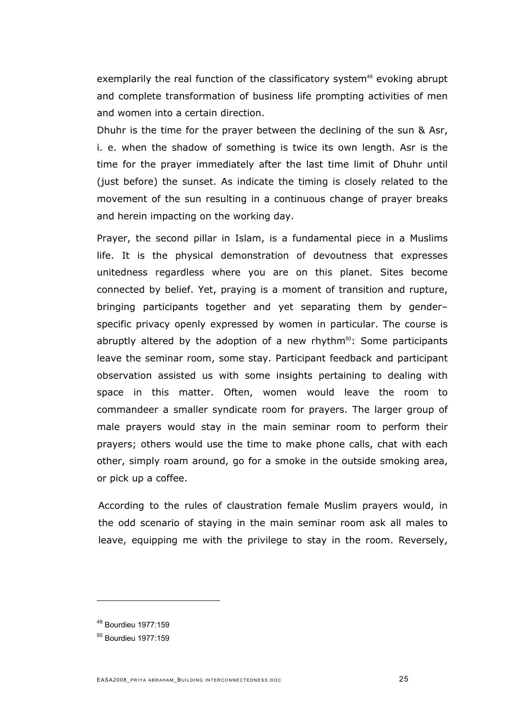exemplarily the real function of the classificatory system<sup>[49](#page-24-0)</sup> evoking abrupt and complete transformation of business life prompting activities of men and women into a certain direction.

Dhuhr is the time for the prayer between the declining of the sun & Asr, i. e. when the shadow of something is twice its own length. Asr is the time for the prayer immediately after the last time limit of Dhuhr until (just before) the sunset. As indicate the timing is closely related to the movement of the sun resulting in a continuous change of prayer breaks and herein impacting on the working day.

Prayer, the second pillar in Islam, is a fundamental piece in a Muslims life. It is the physical demonstration of devoutness that expresses unitedness regardless where you are on this planet. Sites become connected by belief. Yet, praying is a moment of transition and rupture, bringing participants together and yet separating them by gender– specific privacy openly expressed by women in particular. The course is abruptly altered by the adoption of a new rhythm<sup>[50](#page-24-1)</sup>: Some participants leave the seminar room, some stay. Participant feedback and participant observation assisted us with some insights pertaining to dealing with space in this matter. Often, women would leave the room to commandeer a smaller syndicate room for prayers. The larger group of male prayers would stay in the main seminar room to perform their prayers; others would use the time to make phone calls, chat with each other, simply roam around, go for a smoke in the outside smoking area, or pick up a coffee.

According to the rules of claustration female Muslim prayers would, in the odd scenario of staying in the main seminar room ask all males to leave, equipping me with the privilege to stay in the room. Reversely,

<span id="page-24-0"></span><sup>49</sup> Bourdieu 1977:159

<span id="page-24-1"></span><sup>50</sup> Bourdieu 1977:159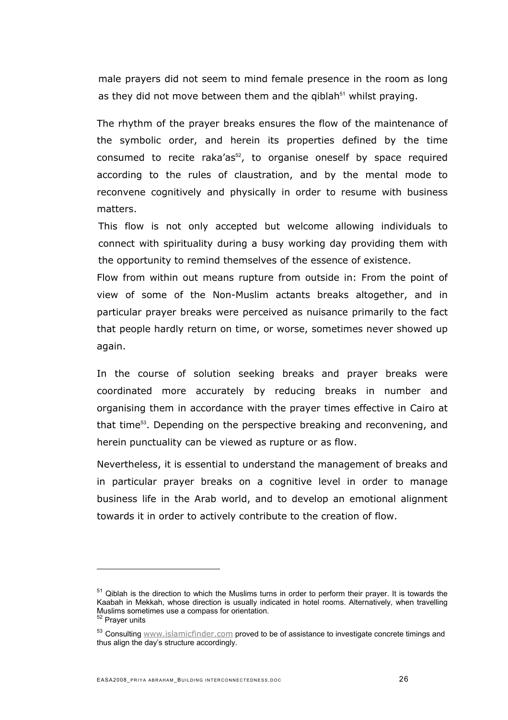male prayers did not seem to mind female presence in the room as long asthey did not move between them and the qiblah $51$  whilst praying.

The rhythm of the prayer breaks ensures the flow of the maintenance of the symbolic order, and herein its properties defined by the time consumed to recite raka'as $52$ , to organise oneself by space required according to the rules of claustration, and by the mental mode to reconvene cognitively and physically in order to resume with business matters.

This flow is not only accepted but welcome allowing individuals to connect with spirituality during a busy working day providing them with the opportunity to remind themselves of the essence of existence.

Flow from within out means rupture from outside in: From the point of view of some of the Non-Muslim actants breaks altogether, and in particular prayer breaks were perceived as nuisance primarily to the fact that people hardly return on time, or worse, sometimes never showed up again.

In the course of solution seeking breaks and prayer breaks were coordinated more accurately by reducing breaks in number and organising them in accordance with the prayer times effective in Cairo at that time<sup>[53](#page-25-2)</sup>. Depending on the perspective breaking and reconvening, and herein punctuality can be viewed as rupture or as flow.

Nevertheless, it is essential to understand the management of breaks and in particular prayer breaks on a cognitive level in order to manage business life in the Arab world, and to develop an emotional alignment towards it in order to actively contribute to the creation of flow.

<span id="page-25-0"></span> $51$  Qiblah is the direction to which the Muslims turns in order to perform their prayer. It is towards the Kaabah in Mekkah, whose direction is usually indicated in hotel rooms. Alternatively, when travelling Muslims sometimes use a compass for orientation. <sup>52</sup> Prayer units

<span id="page-25-2"></span><span id="page-25-1"></span><sup>53</sup> Consulting [www.islamicfinder.com](http://www.islamicfinder.com) proved to be of assistance to investigate concrete timings and thus align the day's structure accordingly.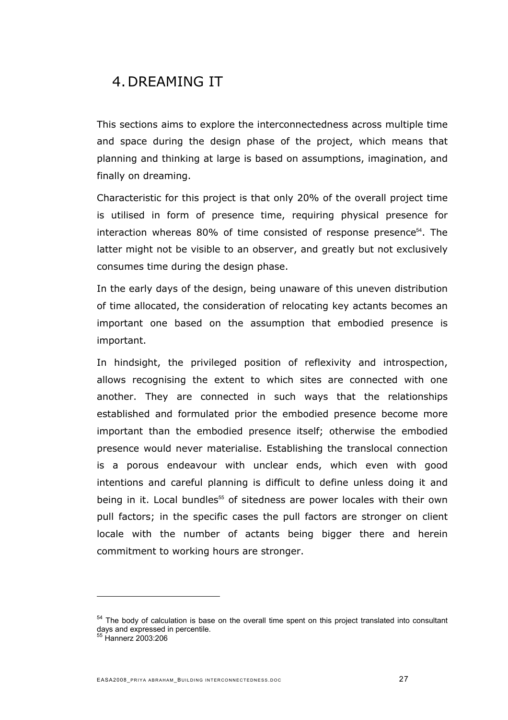# 4. DREAMING IT

This sections aims to explore the interconnectedness across multiple time and space during the design phase of the project, which means that planning and thinking at large is based on assumptions, imagination, and finally on dreaming.

Characteristic for this project is that only 20% of the overall project time is utilised in form of presence time, requiring physical presence for interaction whereas  $80\%$  of time consisted of response presence $^{54}$  $^{54}$  $^{54}$ . The latter might not be visible to an observer, and greatly but not exclusively consumes time during the design phase.

In the early days of the design, being unaware of this uneven distribution of time allocated, the consideration of relocating key actants becomes an important one based on the assumption that embodied presence is important.

In hindsight, the privileged position of reflexivity and introspection, allows recognising the extent to which sites are connected with one another. They are connected in such ways that the relationships established and formulated prior the embodied presence become more important than the embodied presence itself; otherwise the embodied presence would never materialise. Establishing the translocal connection is a porous endeavour with unclear ends, which even with good intentions and careful planning is difficult to define unless doing it and being in it. Local bundles<sup>[55](#page-26-1)</sup> of sitedness are power locales with their own pull factors; in the specific cases the pull factors are stronger on client locale with the number of actants being bigger there and herein commitment to working hours are stronger.

<span id="page-26-0"></span><sup>&</sup>lt;sup>54</sup> The body of calculation is base on the overall time spent on this project translated into consultant days and expressed in percentile. 55 Hannerz 2003:206

<span id="page-26-1"></span>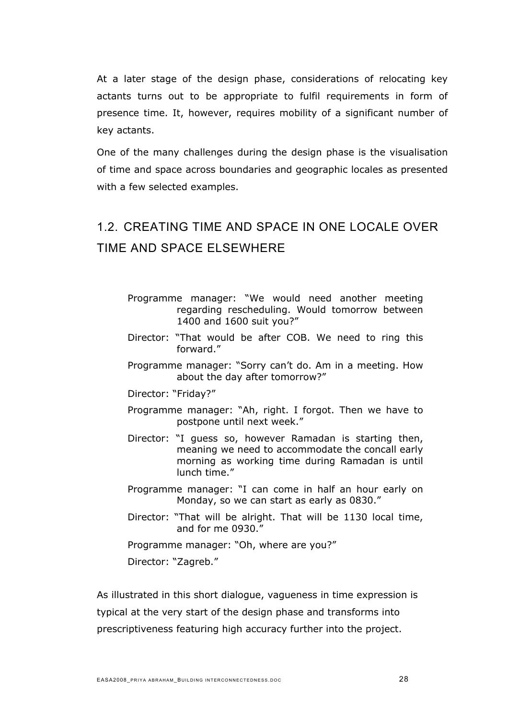At a later stage of the design phase, considerations of relocating key actants turns out to be appropriate to fulfil requirements in form of presence time. It, however, requires mobility of a significant number of key actants.

One of the many challenges during the design phase is the visualisation of time and space across boundaries and geographic locales as presented with a few selected examples.

# 1.2. CREATING TIME AND SPACE IN ONE LOCALE OVER TIME AND SPACE ELSEWHERE

- Programme manager: "We would need another meeting regarding rescheduling. Would tomorrow between 1400 and 1600 suit you?"
- Director: "That would be after COB. We need to ring this forward."
- Programme manager: "Sorry can't do. Am in a meeting. How about the day after tomorrow?"

Director: "Friday?"

- Programme manager: "Ah, right. I forgot. Then we have to postpone until next week."
- Director: "I guess so, however Ramadan is starting then, meaning we need to accommodate the concall early morning as working time during Ramadan is until lunch time."
- Programme manager: "I can come in half an hour early on Monday, so we can start as early as 0830."
- Director: "That will be alright. That will be 1130 local time, and for me 0930."

Programme manager: "Oh, where are you?" Director: "Zagreb."

As illustrated in this short dialogue, vagueness in time expression is typical at the very start of the design phase and transforms into prescriptiveness featuring high accuracy further into the project.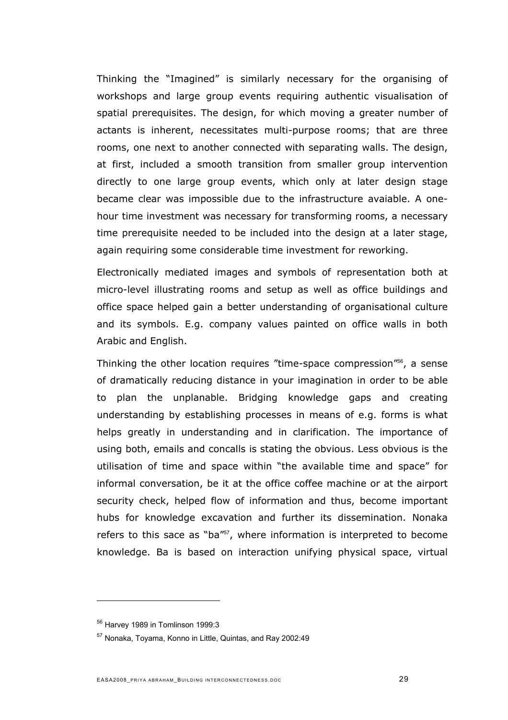Thinking the "Imagined" is similarly necessary for the organising of workshops and large group events requiring authentic visualisation of spatial prerequisites. The design, for which moving a greater number of actants is inherent, necessitates multi-purpose rooms; that are three rooms, one next to another connected with separating walls. The design, at first, included a smooth transition from smaller group intervention directly to one large group events, which only at later design stage became clear was impossible due to the infrastructure avaiable. A onehour time investment was necessary for transforming rooms, a necessary time prerequisite needed to be included into the design at a later stage, again requiring some considerable time investment for reworking.

Electronically mediated images and symbols of representation both at micro-level illustrating rooms and setup as well as office buildings and office space helped gain a better understanding of organisational culture and its symbols. E.g. company values painted on office walls in both Arabic and English.

Thinking the other location requires "time-space compression"<sup>[56](#page-28-0)</sup>, a sense of dramatically reducing distance in your imagination in order to be able to plan the unplanable. Bridging knowledge gaps and creating understanding by establishing processes in means of e.g. forms is what helps greatly in understanding and in clarification. The importance of using both, emails and concalls is stating the obvious. Less obvious is the utilisation of time and space within "the available time and space" for informal conversation, be it at the office coffee machine or at the airport security check, helped flow of information and thus, become important hubs for knowledge excavation and further its dissemination. Nonaka refers to this sace as "ba"<sup>[57](#page-28-1)</sup>, where information is interpreted to become knowledge. Ba is based on interaction unifying physical space, virtual

<span id="page-28-0"></span><sup>56</sup> Harvey 1989 in Tomlinson 1999:3

<span id="page-28-1"></span><sup>57</sup> Nonaka, Toyama, Konno in Little, Quintas, and Ray 2002:49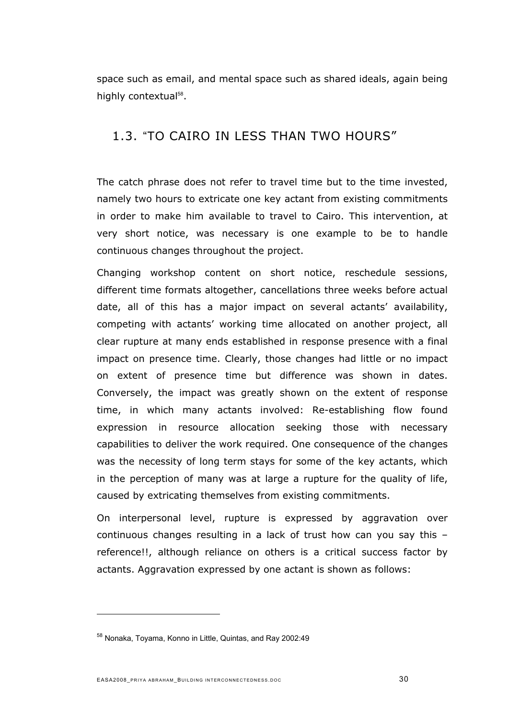space such as email, and mental space such as shared ideals, again being highly contextual<sup>58</sup>[.](#page-29-0)

### 1.3. "TO CAIRO IN LESS THAN TWO HOURS"

The catch phrase does not refer to travel time but to the time invested, namely two hours to extricate one key actant from existing commitments in order to make him available to travel to Cairo. This intervention, at very short notice, was necessary is one example to be to handle continuous changes throughout the project.

Changing workshop content on short notice, reschedule sessions, different time formats altogether, cancellations three weeks before actual date, all of this has a major impact on several actants' availability, competing with actants' working time allocated on another project, all clear rupture at many ends established in response presence with a final impact on presence time. Clearly, those changes had little or no impact on extent of presence time but difference was shown in dates. Conversely, the impact was greatly shown on the extent of response time, in which many actants involved: Re-establishing flow found expression in resource allocation seeking those with necessary capabilities to deliver the work required. One consequence of the changes was the necessity of long term stays for some of the key actants, which in the perception of many was at large a rupture for the quality of life, caused by extricating themselves from existing commitments.

On interpersonal level, rupture is expressed by aggravation over continuous changes resulting in a lack of trust how can you say this – reference!!, although reliance on others is a critical success factor by actants. Aggravation expressed by one actant is shown as follows:

<span id="page-29-0"></span><sup>58</sup> Nonaka, Toyama, Konno in Little, Quintas, and Ray 2002:49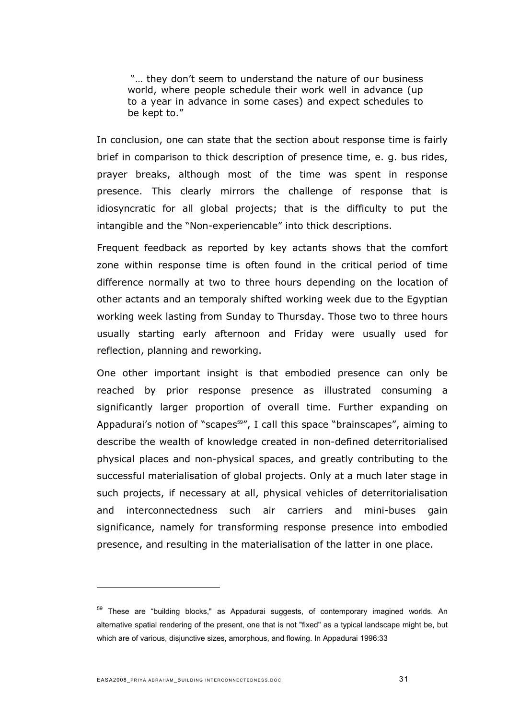"… they don't seem to understand the nature of our business world, where people schedule their work well in advance (up to a year in advance in some cases) and expect schedules to be kept to."

In conclusion, one can state that the section about response time is fairly brief in comparison to thick description of presence time, e. g. bus rides, prayer breaks, although most of the time was spent in response presence. This clearly mirrors the challenge of response that is idiosyncratic for all global projects; that is the difficulty to put the intangible and the "Non-experiencable" into thick descriptions.

Frequent feedback as reported by key actants shows that the comfort zone within response time is often found in the critical period of time difference normally at two to three hours depending on the location of other actants and an temporaly shifted working week due to the Egyptian working week lasting from Sunday to Thursday. Those two to three hours usually starting early afternoon and Friday were usually used for reflection, planning and reworking.

One other important insight is that embodied presence can only be reached by prior response presence as illustrated consuming a significantly larger proportion of overall time. Further expanding on Appadurai's notion of "scapes<sup>[59](#page-30-0)</sup>", I call this space "brainscapes", aiming to describe the wealth of knowledge created in non-defined deterritorialised physical places and non-physical spaces, and greatly contributing to the successful materialisation of global projects. Only at a much later stage in such projects, if necessary at all, physical vehicles of deterritorialisation and interconnectedness such air carriers and mini-buses gain significance, namely for transforming response presence into embodied presence, and resulting in the materialisation of the latter in one place.

<span id="page-30-0"></span><sup>&</sup>lt;sup>59</sup> These are "building blocks," as Appadurai suggests, of contemporary imagined worlds. An alternative spatial rendering of the present, one that is not "fixed" as a typical landscape might be, but which are of various, disjunctive sizes, amorphous, and flowing. In Appadurai 1996:33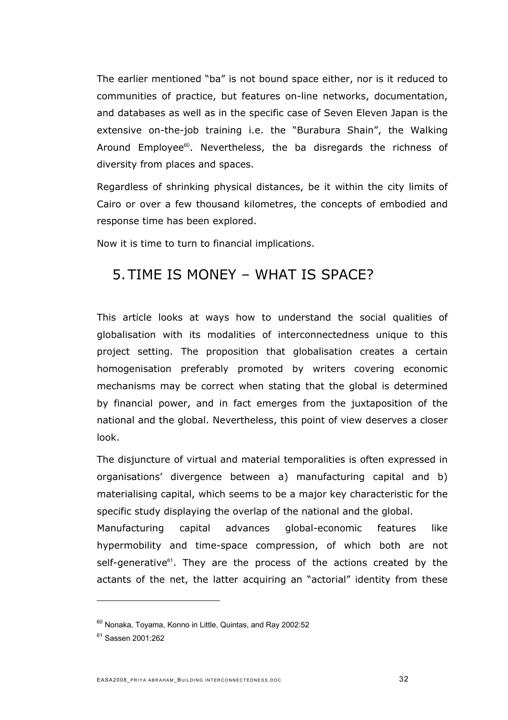The earlier mentioned "ba" is not bound space either, nor is it reduced to communities of practice, but features on-line networks, documentation, and databases as well as in the specific case of Seven Eleven Japan is the extensive on-the-job training i.e. the "Burabura Shain", the Walking Around Employee<sup>[60](#page-31-0)</sup>. Nevertheless, the ba disregards the richness of diversity from places and spaces.

Regardless of shrinking physical distances, be it within the city limits of Cairo or over a few thousand kilometres, the concepts of embodied and response time has been explored.

Now it is time to turn to financial implications.

# 5. TIME IS MONEY – WHAT IS SPACE?

This article looks at ways how to understand the social qualities of globalisation with its modalities of interconnectedness unique to this project setting. The proposition that globalisation creates a certain homogenisation preferably promoted by writers covering economic mechanisms may be correct when stating that the global is determined by financial power, and in fact emerges from the juxtaposition of the national and the global. Nevertheless, this point of view deserves a closer look.

The disjuncture of virtual and material temporalities is often expressed in organisations' divergence between a) manufacturing capital and b) materialising capital, which seems to be a major key characteristic for the specific study displaying the overlap of the national and the global.

Manufacturing capital advances global-economic features like hypermobility and time-space compression, of which both are not self-generative<sup>[61](#page-31-1)</sup>. They are the process of the actions created by the actants of the net, the latter acquiring an "actorial" identity from these

<span id="page-31-0"></span><sup>60</sup> Nonaka, Toyama, Konno in Little, Quintas, and Ray 2002:52

<span id="page-31-1"></span><sup>61</sup> Sassen 2001:262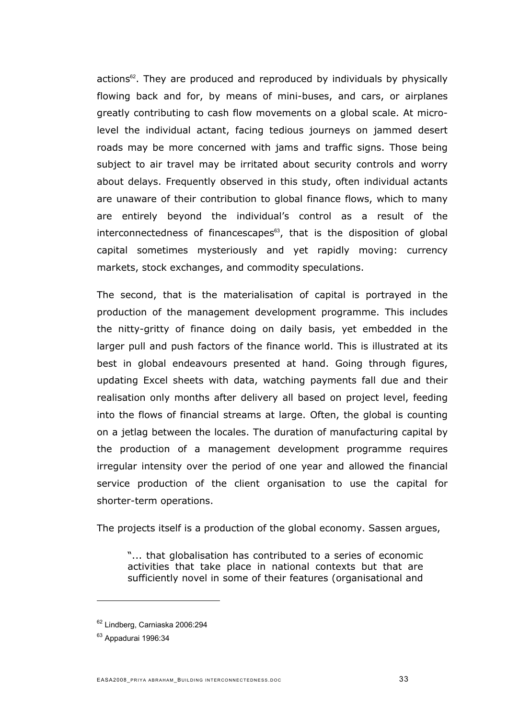actions<sup>[62](#page-32-0)</sup>. They are produced and reproduced by individuals by physically flowing back and for, by means of mini-buses, and cars, or airplanes greatly contributing to cash flow movements on a global scale. At microlevel the individual actant, facing tedious journeys on jammed desert roads may be more concerned with jams and traffic signs. Those being subject to air travel may be irritated about security controls and worry about delays. Frequently observed in this study, often individual actants are unaware of their contribution to global finance flows, which to many are entirely beyond the individual's control as a result of the interconnectedness of financescapes $63$ , that is the disposition of global capital sometimes mysteriously and yet rapidly moving: currency markets, stock exchanges, and commodity speculations.

The second, that is the materialisation of capital is portrayed in the production of the management development programme. This includes the nitty-gritty of finance doing on daily basis, yet embedded in the larger pull and push factors of the finance world. This is illustrated at its best in global endeavours presented at hand. Going through figures, updating Excel sheets with data, watching payments fall due and their realisation only months after delivery all based on project level, feeding into the flows of financial streams at large. Often, the global is counting on a jetlag between the locales. The duration of manufacturing capital by the production of a management development programme requires irregular intensity over the period of one year and allowed the financial service production of the client organisation to use the capital for shorter-term operations.

The projects itself is a production of the global economy. Sassen argues,

"... that globalisation has contributed to a series of economic activities that take place in national contexts but that are sufficiently novel in some of their features (organisational and

<span id="page-32-0"></span><sup>62</sup> Lindberg, Carniaska 2006:294

<span id="page-32-1"></span> $63$  Appadurai 1996:34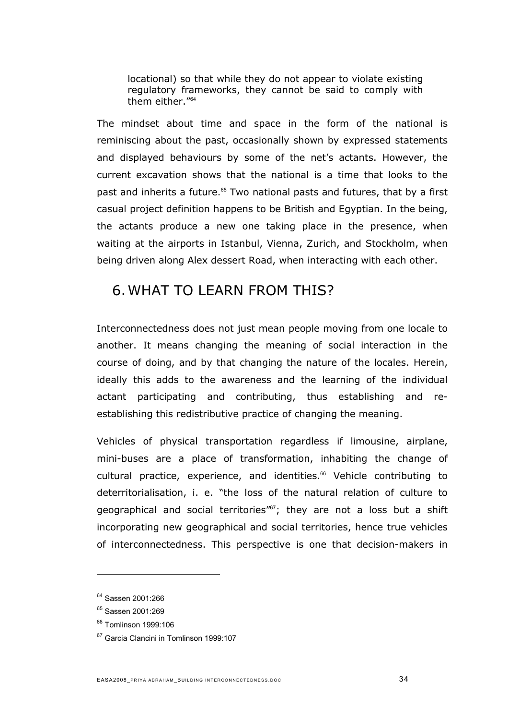locational) so that while they do not appear to violate existing regulatory frameworks, they cannot be said to comply with them either."[64](#page-33-0)

The mindset about time and space in the form of the national is reminiscing about the past, occasionally shown by expressed statements and displayed behaviours by some of the net's actants. However, the current excavation shows that the national is a time that looks to the past and inherits a future.<sup>[65](#page-33-1)</sup> Two national pasts and futures, that by a first casual project definition happens to be British and Egyptian. In the being, the actants produce a new one taking place in the presence, when waiting at the airports in Istanbul, Vienna, Zurich, and Stockholm, when being driven along Alex dessert Road, when interacting with each other.

### 6. WHAT TO LEARN FROM THIS?

Interconnectedness does not just mean people moving from one locale to another. It means changing the meaning of social interaction in the course of doing, and by that changing the nature of the locales. Herein, ideally this adds to the awareness and the learning of the individual actant participating and contributing, thus establishing and reestablishing this redistributive practice of changing the meaning.

Vehicles of physical transportation regardless if limousine, airplane, mini-buses are a place of transformation, inhabiting the change of cultural practice, experience, and identities.<sup>[66](#page-33-2)</sup> Vehicle contributing to deterritorialisation, i. e. "the loss of the natural relation of culture to geographical and social territories"<sup>[67](#page-33-3)</sup>; they are not a loss but a shift incorporating new geographical and social territories, hence true vehicles of interconnectedness. This perspective is one that decision-makers in

<span id="page-33-0"></span><sup>&</sup>lt;sup>64</sup> Sassen 2001:266

<span id="page-33-1"></span><sup>&</sup>lt;sup>65</sup> Sassen 2001:269

<span id="page-33-2"></span><sup>66</sup> Tomlinson 1999:106

<span id="page-33-3"></span><sup>&</sup>lt;sup>67</sup> Garcia Clancini in Tomlinson 1999:107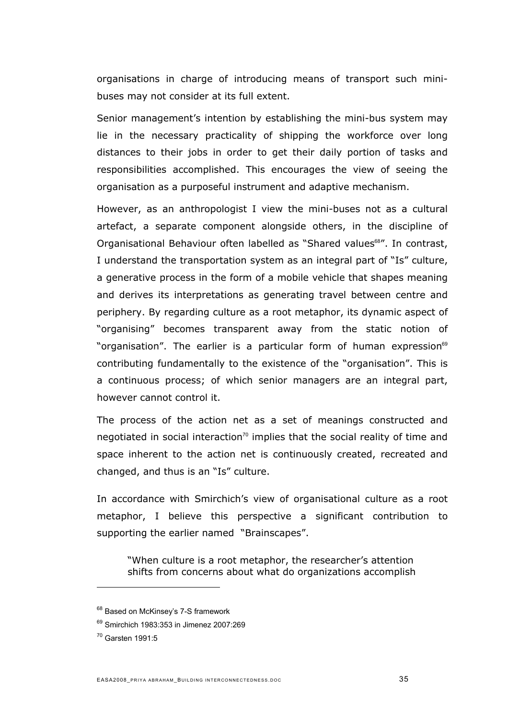organisations in charge of introducing means of transport such minibuses may not consider at its full extent.

Senior management's intention by establishing the mini-bus system may lie in the necessary practicality of shipping the workforce over long distances to their jobs in order to get their daily portion of tasks and responsibilities accomplished. This encourages the view of seeing the organisation as a purposeful instrument and adaptive mechanism.

However, as an anthropologist I view the mini-buses not as a cultural artefact, a separate component alongside others, in the discipline of Organisational Behaviour often labelled as "Shared values<sup>[68](#page-34-0)"</sup>. In contrast, I understand the transportation system as an integral part of "Is" culture, a generative process in the form of a mobile vehicle that shapes meaning and derives its interpretations as generating travel between centre and periphery. By regarding culture as a root metaphor, its dynamic aspect of "organising" becomes transparent away from the static notion of "organisation". The earlier is a particular form of human expression<sup>[69](#page-34-1)</sup> contributing fundamentally to the existence of the "organisation". This is a continuous process; of which senior managers are an integral part, however cannot control it.

The process of the action net as a set of meanings constructed and negotiated in social interaction<sup>[70](#page-34-2)</sup> implies that the social reality of time and space inherent to the action net is continuously created, recreated and changed, and thus is an "Is" culture.

In accordance with Smirchich's view of organisational culture as a root metaphor, I believe this perspective a significant contribution to supporting the earlier named "Brainscapes".

"When culture is a root metaphor, the researcher's attention shifts from concerns about what do organizations accomplish

<span id="page-34-0"></span><sup>&</sup>lt;sup>68</sup> Based on McKinsey's 7-S framework

<span id="page-34-1"></span><sup>69</sup> Smirchich 1983:353 in Jimenez 2007:269

<span id="page-34-2"></span><sup>70</sup> Garsten 1991:5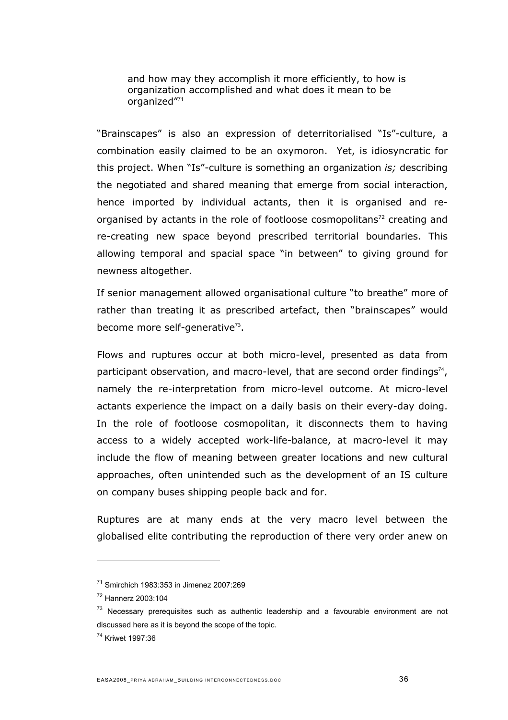and how may they accomplish it more efficiently, to how is organization accomplished and what does it mean to be organized"[71](#page-35-0)

"Brainscapes" is also an expression of deterritorialised "Is"-culture, a combination easily claimed to be an oxymoron. Yet, is idiosyncratic for this project. When "Is"-culture is something an organization *is;* describing the negotiated and shared meaning that emerge from social interaction, hence imported by individual actants, then it is organised and reorganised by actants in the role of footloose cosmopolitans<sup>72</sup> creating and re-creating new space beyond prescribed territorial boundaries. This allowing temporal and spacial space "in between" to giving ground for newness altogether.

If senior management allowed organisational culture "to breathe" more of rather than treating it as prescribed artefact, then "brainscapes" would become more self-generative<sup>[73](#page-35-2)</sup>.

Flows and ruptures occur at both micro-level, presented as data from participant observation, and macro-level, that are second order findings<sup>[74](#page-35-3)</sup>, namely the re-interpretation from micro-level outcome. At micro-level actants experience the impact on a daily basis on their every-day doing. In the role of footloose cosmopolitan, it disconnects them to having access to a widely accepted work-life-balance, at macro-level it may include the flow of meaning between greater locations and new cultural approaches, often unintended such as the development of an IS culture on company buses shipping people back and for.

Ruptures are at many ends at the very macro level between the globalised elite contributing the reproduction of there very order anew on

<span id="page-35-0"></span><sup>71</sup> Smirchich 1983:353 in Jimenez 2007:269

<span id="page-35-1"></span><sup>72</sup> Hannerz 2003:104

<span id="page-35-2"></span> $73$  Necessary prerequisites such as authentic leadership and a favourable environment are not discussed here as it is beyond the scope of the topic.

<span id="page-35-3"></span><sup>74</sup> Kriwet 1997:36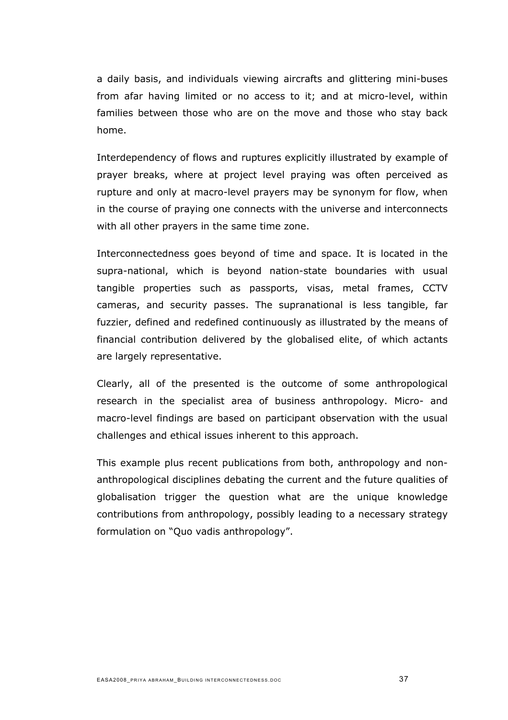a daily basis, and individuals viewing aircrafts and glittering mini-buses from afar having limited or no access to it; and at micro-level, within families between those who are on the move and those who stay back home.

Interdependency of flows and ruptures explicitly illustrated by example of prayer breaks, where at project level praying was often perceived as rupture and only at macro-level prayers may be synonym for flow, when in the course of praying one connects with the universe and interconnects with all other prayers in the same time zone.

Interconnectedness goes beyond of time and space. It is located in the supra-national, which is beyond nation-state boundaries with usual tangible properties such as passports, visas, metal frames, CCTV cameras, and security passes. The supranational is less tangible, far fuzzier, defined and redefined continuously as illustrated by the means of financial contribution delivered by the globalised elite, of which actants are largely representative.

Clearly, all of the presented is the outcome of some anthropological research in the specialist area of business anthropology. Micro- and macro-level findings are based on participant observation with the usual challenges and ethical issues inherent to this approach.

This example plus recent publications from both, anthropology and nonanthropological disciplines debating the current and the future qualities of globalisation trigger the question what are the unique knowledge contributions from anthropology, possibly leading to a necessary strategy formulation on "Quo vadis anthropology".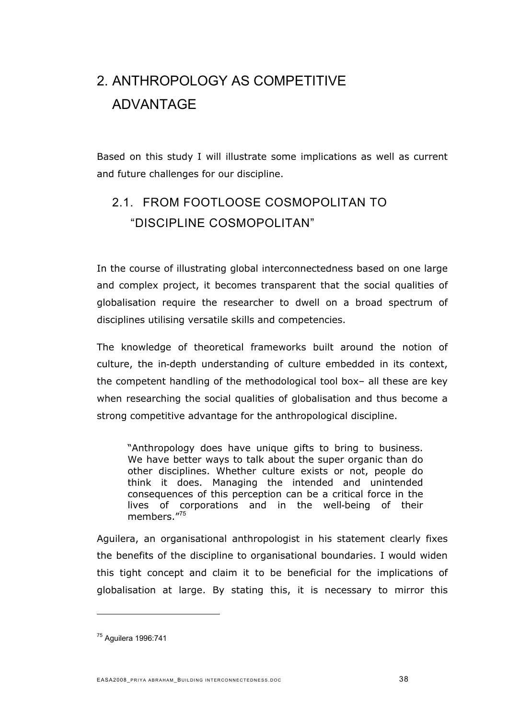# 2. ANTHROPOLOGY AS COMPETITIVE ADVANTAGE

Based on this study I will illustrate some implications as well as current and future challenges for our discipline.

# 2.1. FROM FOOTLOOSE COSMOPOLITAN TO "DISCIPLINE COSMOPOLITAN"

In the course of illustrating global interconnectedness based on one large and complex project, it becomes transparent that the social qualities of globalisation require the researcher to dwell on a broad spectrum of disciplines utilising versatile skills and competencies.

The knowledge of theoretical frameworks built around the notion of culture, the in-depth understanding of culture embedded in its context, the competent handling of the methodological tool box– all these are key when researching the social qualities of globalisation and thus become a strong competitive advantage for the anthropological discipline.

"Anthropology does have unique gifts to bring to business. We have better ways to talk about the super organic than do other disciplines. Whether culture exists or not, people do think it does. Managing the intended and unintended consequences of this perception can be a critical force in the lives of corporations and in the well-being of their members."[75](#page-37-0)

Aguilera, an organisational anthropologist in his statement clearly fixes the benefits of the discipline to organisational boundaries. I would widen this tight concept and claim it to be beneficial for the implications of globalisation at large. By stating this, it is necessary to mirror this

<span id="page-37-0"></span><sup>75</sup> Aguilera 1996:741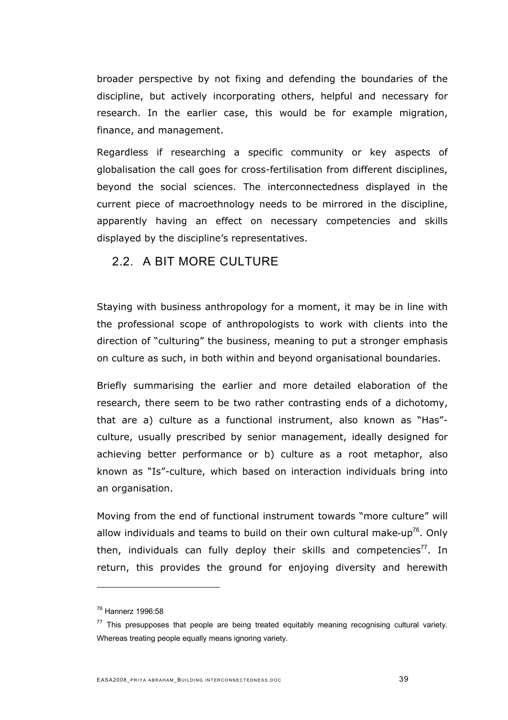broader perspective by not fixing and defending the boundaries of the discipline, but actively incorporating others, helpful and necessary for research. In the earlier case, this would be for example migration, finance, and management.

Regardless if researching a specific community or key aspects of globalisation the call goes for cross-fertilisation from different disciplines, beyond the social sciences. The interconnectedness displayed in the current piece of macroethnology needs to be mirrored in the discipline, apparently having an effect on necessary competencies and skills displayed by the discipline's representatives.

#### 2.2. A BIT MORF CUI TURF

Staying with business anthropology for a moment, it may be in line with the professional scope of anthropologists to work with clients into the direction of "culturing" the business, meaning to put a stronger emphasis on culture as such, in both within and beyond organisational boundaries.

Briefly summarising the earlier and more detailed elaboration of the research, there seem to be two rather contrasting ends of a dichotomy, that are a) culture as a functional instrument, also known as "Has" culture, usually prescribed by senior management, ideally designed for achieving better performance or b) culture as a root metaphor, also known as "Is"-culture, which based on interaction individuals bring into an organisation.

Moving from the end of functional instrument towards "more culture" will allow individuals and teams to build on their own cultural make-up<sup>[76](#page-38-0)</sup>. Only then, individuals can fully deploy their skills and competencies<sup>[77](#page-38-1)</sup>. In return, this provides the ground for enjoying diversity and herewith

<span id="page-38-0"></span><sup>76</sup> Hannerz 1996:58

<span id="page-38-1"></span> $77$  This presupposes that people are being treated equitably meaning recognising cultural variety. Whereas treating people equally means ignoring variety.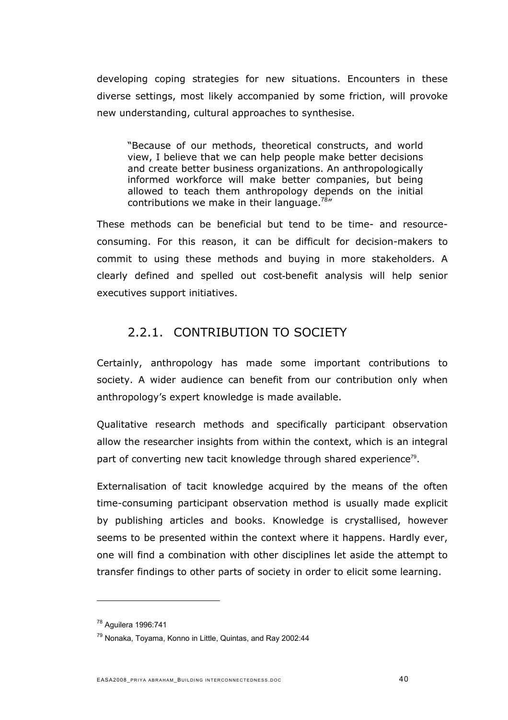developing coping strategies for new situations. Encounters in these diverse settings, most likely accompanied by some friction, will provoke new understanding, cultural approaches to synthesise.

"Because of our methods, theoretical constructs, and world view, I believe that we can help people make better decisions and create better business organizations. An anthropologically informed workforce will make better companies, but being allowed to teach them anthropology depends on the initial contributions we make in their language.<sup>[78](#page-39-0)"</sup>

These methods can be beneficial but tend to be time- and resourceconsuming. For this reason, it can be difficult for decision-makers to commit to using these methods and buying in more stakeholders. A clearly defined and spelled out cost-benefit analysis will help senior executives support initiatives.

### 2.2.1. CONTRIBUTION TO SOCIETY

Certainly, anthropology has made some important contributions to society. A wider audience can benefit from our contribution only when anthropology's expert knowledge is made available.

Qualitative research methods and specifically participant observation allow the researcher insights from within the context, which is an integral part of converting new tacit knowledge through shared experience<sup>[79](#page-39-1)</sup>.

Externalisation of tacit knowledge acquired by the means of the often time-consuming participant observation method is usually made explicit by publishing articles and books. Knowledge is crystallised, however seems to be presented within the context where it happens. Hardly ever, one will find a combination with other disciplines let aside the attempt to transfer findings to other parts of society in order to elicit some learning.

<span id="page-39-0"></span><sup>78</sup> Aguilera 1996:741

<span id="page-39-1"></span><sup>79</sup> Nonaka, Toyama, Konno in Little, Quintas, and Ray 2002:44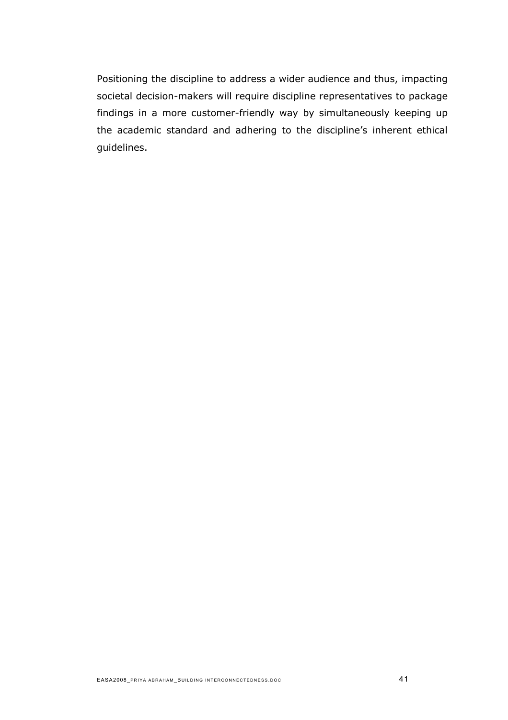Positioning the discipline to address a wider audience and thus, impacting societal decision-makers will require discipline representatives to package findings in a more customer-friendly way by simultaneously keeping up the academic standard and adhering to the discipline's inherent ethical guidelines.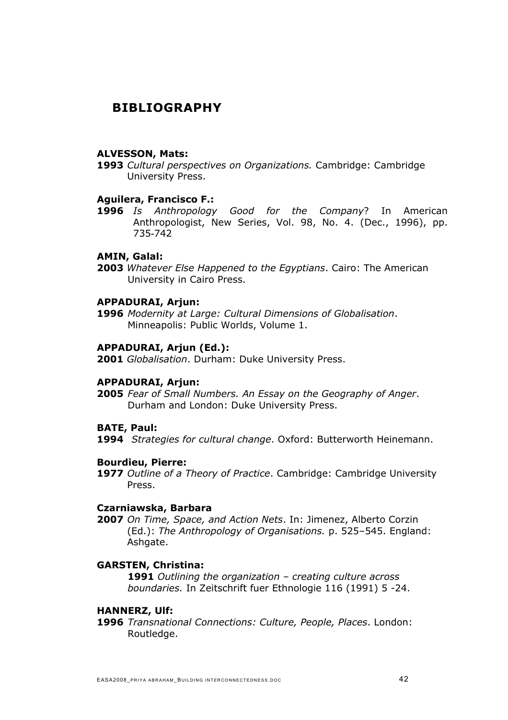### **BIBLIOGRAPHY**

#### **ALVESSON, Mats:**

**1993** *Cultural perspectives on Organizations.* Cambridge: Cambridge University Press.

#### **Aguilera, Francisco F.:**

**1996** *Is Anthropology Good for the Company*? In American Anthropologist, New Series, Vol. 98, No. 4. (Dec., 1996), pp. 735-742

#### **AMIN, Galal:**

**2003** *Whatever Else Happened to the Egyptians*. Cairo: The American University in Cairo Press.

#### **APPADURAI, Arjun:**

**1996** *Modernity at Large: Cultural Dimensions of Globalisation*. Minneapolis: Public Worlds, Volume 1.

#### **APPADURAI, Arjun (Ed.):**

**2001** *Globalisation*. Durham: Duke University Press.

#### **APPADURAI, Arjun:**

**2005** *Fear of Small Numbers. An Essay on the Geography of Anger*. Durham and London: Duke University Press.

#### **BATE, Paul:**

**1994** *Strategies for cultural change*. Oxford: Butterworth Heinemann.

#### **Bourdieu, Pierre:**

**1977** *Outline of a Theory of Practice*. Cambridge: Cambridge University Press.

#### **Czarniawska, Barbara**

**2007** *On Time, Space, and Action Nets*. In: Jimenez, Alberto Corzin (Ed.): *The Anthropology of Organisations.* p. 525–545. England: Ashgate.

#### **GARSTEN, Christina:**

**1991** *Outlining the organization – creating culture across boundaries.* In Zeitschrift fuer Ethnologie 116 (1991) 5 -24.

#### **HANNERZ, Ulf:**

**1996** *Transnational Connections: Culture, People, Places*. London: Routledge.